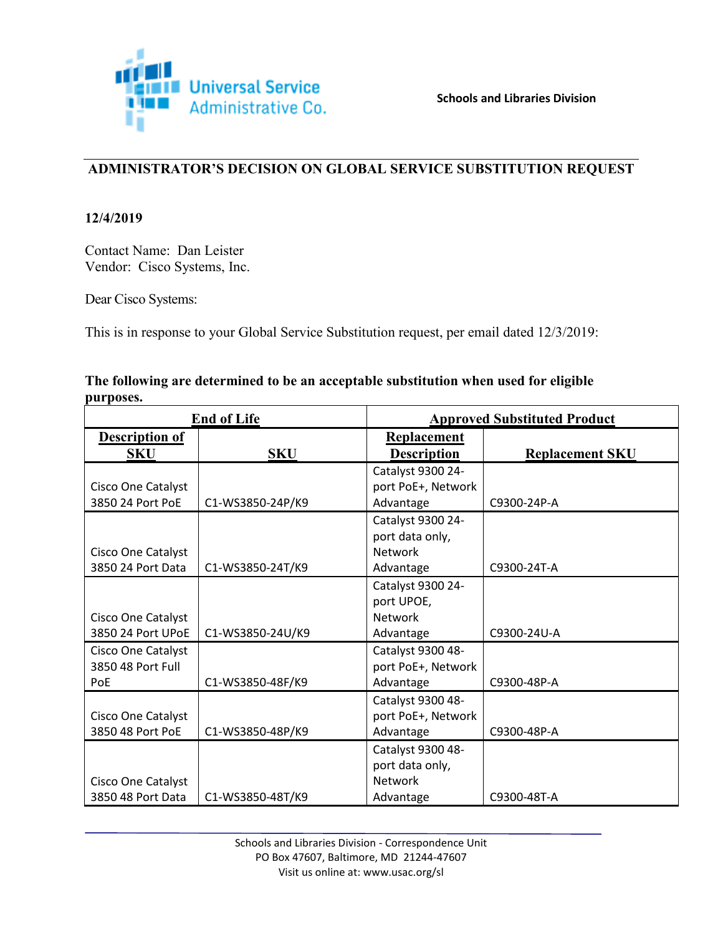

# **ADMINISTRATOR'S DECISION ON GLOBAL SERVICE SUBSTITUTION REQUEST**

#### **12/4/2019**

Contact Name: Dan Leister Vendor: Cisco Systems, Inc.

Dear Cisco Systems:

This is in response to your Global Service Substitution request, per email dated 12/3/2019:

| The following are determined to be an acceptable substitution when used for eligible |  |
|--------------------------------------------------------------------------------------|--|
| purposes.                                                                            |  |

| <b>End of Life</b>        |                  | <b>Approved Substituted Product</b> |                        |
|---------------------------|------------------|-------------------------------------|------------------------|
| <b>Description of</b>     |                  | <b>Replacement</b>                  |                        |
| <b>SKU</b>                | <b>SKU</b>       | <b>Description</b>                  | <b>Replacement SKU</b> |
|                           |                  | Catalyst 9300 24-                   |                        |
| Cisco One Catalyst        |                  | port PoE+, Network                  |                        |
| 3850 24 Port PoE          | C1-WS3850-24P/K9 | Advantage                           | C9300-24P-A            |
|                           |                  | Catalyst 9300 24-                   |                        |
|                           |                  | port data only,                     |                        |
| Cisco One Catalyst        |                  | <b>Network</b>                      |                        |
| 3850 24 Port Data         | C1-WS3850-24T/K9 | Advantage                           | C9300-24T-A            |
|                           |                  | Catalyst 9300 24-                   |                        |
|                           |                  | port UPOE,                          |                        |
| Cisco One Catalyst        |                  | <b>Network</b>                      |                        |
| 3850 24 Port UPoE         | C1-WS3850-24U/K9 | Advantage                           | C9300-24U-A            |
| Cisco One Catalyst        |                  | Catalyst 9300 48-                   |                        |
| 3850 48 Port Full         |                  | port PoE+, Network                  |                        |
| PoE                       | C1-WS3850-48F/K9 | Advantage                           | C9300-48P-A            |
|                           |                  | Catalyst 9300 48-                   |                        |
| <b>Cisco One Catalyst</b> |                  | port PoE+, Network                  |                        |
| 3850 48 Port PoE          | C1-WS3850-48P/K9 | Advantage                           | C9300-48P-A            |
|                           |                  | Catalyst 9300 48-                   |                        |
|                           |                  | port data only,                     |                        |
| <b>Cisco One Catalyst</b> |                  | Network                             |                        |
| 3850 48 Port Data         | C1-WS3850-48T/K9 | Advantage                           | C9300-48T-A            |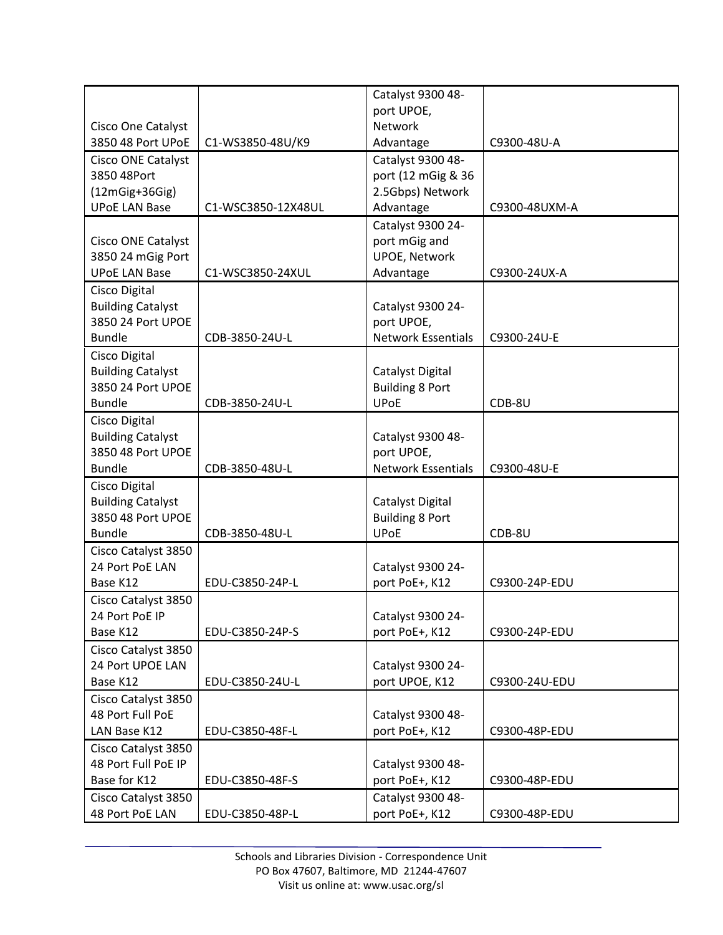| port UPOE,<br>Network<br>Cisco One Catalyst<br>3850 48 Port UPoE<br>C1-WS3850-48U/K9<br>Advantage<br>C9300-48U-A<br>Catalyst 9300 48-<br><b>Cisco ONE Catalyst</b><br>3850 48Port<br>port (12 mGig & 36<br>2.5Gbps) Network<br>$(12mGig+36Gig)$<br><b>UPoE LAN Base</b><br>Advantage<br>C1-WSC3850-12X48UL<br>C9300-48UXM-A<br>Catalyst 9300 24-<br>Cisco ONE Catalyst<br>port mGig and<br><b>UPOE, Network</b><br>3850 24 mGig Port<br><b>UPoE LAN Base</b><br>Advantage<br>C1-WSC3850-24XUL<br>C9300-24UX-A<br>Cisco Digital<br><b>Building Catalyst</b><br>Catalyst 9300 24-<br>3850 24 Port UPOE<br>port UPOE,<br><b>Network Essentials</b><br>CDB-3850-24U-L<br>C9300-24U-E<br><b>Bundle</b><br>Cisco Digital<br><b>Building Catalyst</b><br>Catalyst Digital<br>3850 24 Port UPOE<br><b>Building 8 Port</b><br><b>Bundle</b><br><b>UPoE</b><br>CDB-3850-24U-L<br>CDB-8U<br>Cisco Digital<br><b>Building Catalyst</b><br>Catalyst 9300 48-<br>3850 48 Port UPOE<br>port UPOE,<br><b>Network Essentials</b><br><b>Bundle</b><br>CDB-3850-48U-L<br>C9300-48U-E<br>Cisco Digital<br><b>Building Catalyst</b><br>Catalyst Digital<br>3850 48 Port UPOE<br><b>Building 8 Port</b><br><b>UPoE</b><br><b>Bundle</b><br>CDB-8U<br>CDB-3850-48U-L<br>Cisco Catalyst 3850<br>24 Port PoE LAN<br>Catalyst 9300 24-<br>Base K12<br>EDU-C3850-24P-L<br>port PoE+, K12<br>C9300-24P-EDU<br>Cisco Catalyst 3850<br>Catalyst 9300 24-<br>24 Port PoE IP<br>port PoE+, K12<br>Base K12<br>EDU-C3850-24P-S<br>C9300-24P-EDU<br>Cisco Catalyst 3850 |  | Catalyst 9300 48- |  |
|---------------------------------------------------------------------------------------------------------------------------------------------------------------------------------------------------------------------------------------------------------------------------------------------------------------------------------------------------------------------------------------------------------------------------------------------------------------------------------------------------------------------------------------------------------------------------------------------------------------------------------------------------------------------------------------------------------------------------------------------------------------------------------------------------------------------------------------------------------------------------------------------------------------------------------------------------------------------------------------------------------------------------------------------------------------------------------------------------------------------------------------------------------------------------------------------------------------------------------------------------------------------------------------------------------------------------------------------------------------------------------------------------------------------------------------------------------------------------------------------------------------------------------------|--|-------------------|--|
|                                                                                                                                                                                                                                                                                                                                                                                                                                                                                                                                                                                                                                                                                                                                                                                                                                                                                                                                                                                                                                                                                                                                                                                                                                                                                                                                                                                                                                                                                                                                       |  |                   |  |
|                                                                                                                                                                                                                                                                                                                                                                                                                                                                                                                                                                                                                                                                                                                                                                                                                                                                                                                                                                                                                                                                                                                                                                                                                                                                                                                                                                                                                                                                                                                                       |  |                   |  |
|                                                                                                                                                                                                                                                                                                                                                                                                                                                                                                                                                                                                                                                                                                                                                                                                                                                                                                                                                                                                                                                                                                                                                                                                                                                                                                                                                                                                                                                                                                                                       |  |                   |  |
|                                                                                                                                                                                                                                                                                                                                                                                                                                                                                                                                                                                                                                                                                                                                                                                                                                                                                                                                                                                                                                                                                                                                                                                                                                                                                                                                                                                                                                                                                                                                       |  |                   |  |
|                                                                                                                                                                                                                                                                                                                                                                                                                                                                                                                                                                                                                                                                                                                                                                                                                                                                                                                                                                                                                                                                                                                                                                                                                                                                                                                                                                                                                                                                                                                                       |  |                   |  |
|                                                                                                                                                                                                                                                                                                                                                                                                                                                                                                                                                                                                                                                                                                                                                                                                                                                                                                                                                                                                                                                                                                                                                                                                                                                                                                                                                                                                                                                                                                                                       |  |                   |  |
|                                                                                                                                                                                                                                                                                                                                                                                                                                                                                                                                                                                                                                                                                                                                                                                                                                                                                                                                                                                                                                                                                                                                                                                                                                                                                                                                                                                                                                                                                                                                       |  |                   |  |
|                                                                                                                                                                                                                                                                                                                                                                                                                                                                                                                                                                                                                                                                                                                                                                                                                                                                                                                                                                                                                                                                                                                                                                                                                                                                                                                                                                                                                                                                                                                                       |  |                   |  |
|                                                                                                                                                                                                                                                                                                                                                                                                                                                                                                                                                                                                                                                                                                                                                                                                                                                                                                                                                                                                                                                                                                                                                                                                                                                                                                                                                                                                                                                                                                                                       |  |                   |  |
|                                                                                                                                                                                                                                                                                                                                                                                                                                                                                                                                                                                                                                                                                                                                                                                                                                                                                                                                                                                                                                                                                                                                                                                                                                                                                                                                                                                                                                                                                                                                       |  |                   |  |
|                                                                                                                                                                                                                                                                                                                                                                                                                                                                                                                                                                                                                                                                                                                                                                                                                                                                                                                                                                                                                                                                                                                                                                                                                                                                                                                                                                                                                                                                                                                                       |  |                   |  |
|                                                                                                                                                                                                                                                                                                                                                                                                                                                                                                                                                                                                                                                                                                                                                                                                                                                                                                                                                                                                                                                                                                                                                                                                                                                                                                                                                                                                                                                                                                                                       |  |                   |  |
|                                                                                                                                                                                                                                                                                                                                                                                                                                                                                                                                                                                                                                                                                                                                                                                                                                                                                                                                                                                                                                                                                                                                                                                                                                                                                                                                                                                                                                                                                                                                       |  |                   |  |
|                                                                                                                                                                                                                                                                                                                                                                                                                                                                                                                                                                                                                                                                                                                                                                                                                                                                                                                                                                                                                                                                                                                                                                                                                                                                                                                                                                                                                                                                                                                                       |  |                   |  |
|                                                                                                                                                                                                                                                                                                                                                                                                                                                                                                                                                                                                                                                                                                                                                                                                                                                                                                                                                                                                                                                                                                                                                                                                                                                                                                                                                                                                                                                                                                                                       |  |                   |  |
|                                                                                                                                                                                                                                                                                                                                                                                                                                                                                                                                                                                                                                                                                                                                                                                                                                                                                                                                                                                                                                                                                                                                                                                                                                                                                                                                                                                                                                                                                                                                       |  |                   |  |
|                                                                                                                                                                                                                                                                                                                                                                                                                                                                                                                                                                                                                                                                                                                                                                                                                                                                                                                                                                                                                                                                                                                                                                                                                                                                                                                                                                                                                                                                                                                                       |  |                   |  |
|                                                                                                                                                                                                                                                                                                                                                                                                                                                                                                                                                                                                                                                                                                                                                                                                                                                                                                                                                                                                                                                                                                                                                                                                                                                                                                                                                                                                                                                                                                                                       |  |                   |  |
|                                                                                                                                                                                                                                                                                                                                                                                                                                                                                                                                                                                                                                                                                                                                                                                                                                                                                                                                                                                                                                                                                                                                                                                                                                                                                                                                                                                                                                                                                                                                       |  |                   |  |
|                                                                                                                                                                                                                                                                                                                                                                                                                                                                                                                                                                                                                                                                                                                                                                                                                                                                                                                                                                                                                                                                                                                                                                                                                                                                                                                                                                                                                                                                                                                                       |  |                   |  |
|                                                                                                                                                                                                                                                                                                                                                                                                                                                                                                                                                                                                                                                                                                                                                                                                                                                                                                                                                                                                                                                                                                                                                                                                                                                                                                                                                                                                                                                                                                                                       |  |                   |  |
|                                                                                                                                                                                                                                                                                                                                                                                                                                                                                                                                                                                                                                                                                                                                                                                                                                                                                                                                                                                                                                                                                                                                                                                                                                                                                                                                                                                                                                                                                                                                       |  |                   |  |
|                                                                                                                                                                                                                                                                                                                                                                                                                                                                                                                                                                                                                                                                                                                                                                                                                                                                                                                                                                                                                                                                                                                                                                                                                                                                                                                                                                                                                                                                                                                                       |  |                   |  |
|                                                                                                                                                                                                                                                                                                                                                                                                                                                                                                                                                                                                                                                                                                                                                                                                                                                                                                                                                                                                                                                                                                                                                                                                                                                                                                                                                                                                                                                                                                                                       |  |                   |  |
|                                                                                                                                                                                                                                                                                                                                                                                                                                                                                                                                                                                                                                                                                                                                                                                                                                                                                                                                                                                                                                                                                                                                                                                                                                                                                                                                                                                                                                                                                                                                       |  |                   |  |
|                                                                                                                                                                                                                                                                                                                                                                                                                                                                                                                                                                                                                                                                                                                                                                                                                                                                                                                                                                                                                                                                                                                                                                                                                                                                                                                                                                                                                                                                                                                                       |  |                   |  |
|                                                                                                                                                                                                                                                                                                                                                                                                                                                                                                                                                                                                                                                                                                                                                                                                                                                                                                                                                                                                                                                                                                                                                                                                                                                                                                                                                                                                                                                                                                                                       |  |                   |  |
|                                                                                                                                                                                                                                                                                                                                                                                                                                                                                                                                                                                                                                                                                                                                                                                                                                                                                                                                                                                                                                                                                                                                                                                                                                                                                                                                                                                                                                                                                                                                       |  |                   |  |
|                                                                                                                                                                                                                                                                                                                                                                                                                                                                                                                                                                                                                                                                                                                                                                                                                                                                                                                                                                                                                                                                                                                                                                                                                                                                                                                                                                                                                                                                                                                                       |  |                   |  |
|                                                                                                                                                                                                                                                                                                                                                                                                                                                                                                                                                                                                                                                                                                                                                                                                                                                                                                                                                                                                                                                                                                                                                                                                                                                                                                                                                                                                                                                                                                                                       |  |                   |  |
|                                                                                                                                                                                                                                                                                                                                                                                                                                                                                                                                                                                                                                                                                                                                                                                                                                                                                                                                                                                                                                                                                                                                                                                                                                                                                                                                                                                                                                                                                                                                       |  |                   |  |
|                                                                                                                                                                                                                                                                                                                                                                                                                                                                                                                                                                                                                                                                                                                                                                                                                                                                                                                                                                                                                                                                                                                                                                                                                                                                                                                                                                                                                                                                                                                                       |  |                   |  |
|                                                                                                                                                                                                                                                                                                                                                                                                                                                                                                                                                                                                                                                                                                                                                                                                                                                                                                                                                                                                                                                                                                                                                                                                                                                                                                                                                                                                                                                                                                                                       |  |                   |  |
| 24 Port UPOE LAN<br>Catalyst 9300 24-                                                                                                                                                                                                                                                                                                                                                                                                                                                                                                                                                                                                                                                                                                                                                                                                                                                                                                                                                                                                                                                                                                                                                                                                                                                                                                                                                                                                                                                                                                 |  |                   |  |
| port UPOE, K12<br>Base K12<br>EDU-C3850-24U-L<br>C9300-24U-EDU                                                                                                                                                                                                                                                                                                                                                                                                                                                                                                                                                                                                                                                                                                                                                                                                                                                                                                                                                                                                                                                                                                                                                                                                                                                                                                                                                                                                                                                                        |  |                   |  |
| Cisco Catalyst 3850                                                                                                                                                                                                                                                                                                                                                                                                                                                                                                                                                                                                                                                                                                                                                                                                                                                                                                                                                                                                                                                                                                                                                                                                                                                                                                                                                                                                                                                                                                                   |  |                   |  |
| 48 Port Full PoE<br>Catalyst 9300 48-                                                                                                                                                                                                                                                                                                                                                                                                                                                                                                                                                                                                                                                                                                                                                                                                                                                                                                                                                                                                                                                                                                                                                                                                                                                                                                                                                                                                                                                                                                 |  |                   |  |
| LAN Base K12<br>EDU-C3850-48F-L<br>port PoE+, K12<br>C9300-48P-EDU                                                                                                                                                                                                                                                                                                                                                                                                                                                                                                                                                                                                                                                                                                                                                                                                                                                                                                                                                                                                                                                                                                                                                                                                                                                                                                                                                                                                                                                                    |  |                   |  |
| Cisco Catalyst 3850                                                                                                                                                                                                                                                                                                                                                                                                                                                                                                                                                                                                                                                                                                                                                                                                                                                                                                                                                                                                                                                                                                                                                                                                                                                                                                                                                                                                                                                                                                                   |  |                   |  |
| 48 Port Full PoE IP<br>Catalyst 9300 48-                                                                                                                                                                                                                                                                                                                                                                                                                                                                                                                                                                                                                                                                                                                                                                                                                                                                                                                                                                                                                                                                                                                                                                                                                                                                                                                                                                                                                                                                                              |  |                   |  |
| Base for K12<br>port PoE+, K12<br>EDU-C3850-48F-S<br>C9300-48P-EDU                                                                                                                                                                                                                                                                                                                                                                                                                                                                                                                                                                                                                                                                                                                                                                                                                                                                                                                                                                                                                                                                                                                                                                                                                                                                                                                                                                                                                                                                    |  |                   |  |
| Cisco Catalyst 3850<br>Catalyst 9300 48-                                                                                                                                                                                                                                                                                                                                                                                                                                                                                                                                                                                                                                                                                                                                                                                                                                                                                                                                                                                                                                                                                                                                                                                                                                                                                                                                                                                                                                                                                              |  |                   |  |
| 48 Port PoE LAN<br>port PoE+, K12<br>EDU-C3850-48P-L<br>C9300-48P-EDU                                                                                                                                                                                                                                                                                                                                                                                                                                                                                                                                                                                                                                                                                                                                                                                                                                                                                                                                                                                                                                                                                                                                                                                                                                                                                                                                                                                                                                                                 |  |                   |  |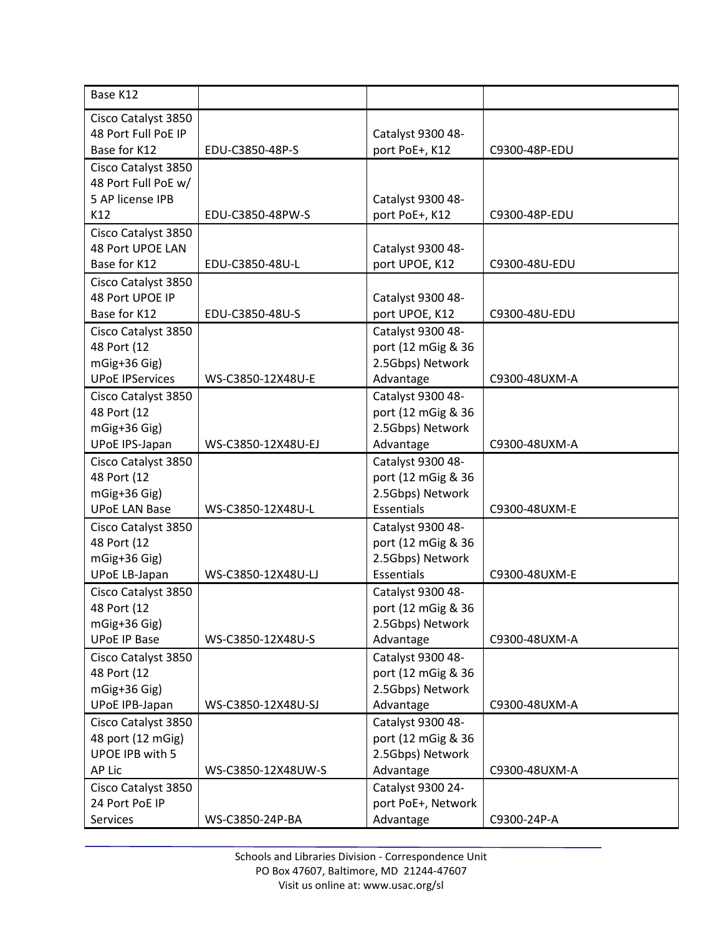| Base K12               |                    |                    |               |
|------------------------|--------------------|--------------------|---------------|
| Cisco Catalyst 3850    |                    |                    |               |
| 48 Port Full PoE IP    |                    | Catalyst 9300 48-  |               |
| Base for K12           | EDU-C3850-48P-S    | port PoE+, K12     | C9300-48P-EDU |
| Cisco Catalyst 3850    |                    |                    |               |
| 48 Port Full PoE w/    |                    |                    |               |
| 5 AP license IPB       |                    | Catalyst 9300 48-  |               |
| K12                    | EDU-C3850-48PW-S   | port PoE+, K12     | C9300-48P-EDU |
| Cisco Catalyst 3850    |                    |                    |               |
| 48 Port UPOE LAN       |                    | Catalyst 9300 48-  |               |
| Base for K12           | EDU-C3850-48U-L    | port UPOE, K12     | C9300-48U-EDU |
| Cisco Catalyst 3850    |                    |                    |               |
| 48 Port UPOE IP        |                    | Catalyst 9300 48-  |               |
| Base for K12           | EDU-C3850-48U-S    | port UPOE, K12     | C9300-48U-EDU |
| Cisco Catalyst 3850    |                    | Catalyst 9300 48-  |               |
| 48 Port (12            |                    | port (12 mGig & 36 |               |
| mGig+36 Gig)           |                    | 2.5Gbps) Network   |               |
| <b>UPoE IPServices</b> | WS-C3850-12X48U-E  | Advantage          | C9300-48UXM-A |
| Cisco Catalyst 3850    |                    | Catalyst 9300 48-  |               |
| 48 Port (12            |                    | port (12 mGig & 36 |               |
| mGig+36 Gig)           |                    | 2.5Gbps) Network   |               |
| <b>UPoE IPS-Japan</b>  | WS-C3850-12X48U-EJ | Advantage          | C9300-48UXM-A |
| Cisco Catalyst 3850    |                    | Catalyst 9300 48-  |               |
| 48 Port (12            |                    | port (12 mGig & 36 |               |
| mGig+36 Gig)           |                    | 2.5Gbps) Network   |               |
| <b>UPoE LAN Base</b>   | WS-C3850-12X48U-L  | <b>Essentials</b>  | C9300-48UXM-E |
| Cisco Catalyst 3850    |                    | Catalyst 9300 48-  |               |
| 48 Port (12            |                    | port (12 mGig & 36 |               |
| mGig+36 Gig)           |                    | 2.5Gbps) Network   |               |
| <b>UPoE LB-Japan</b>   | WS-C3850-12X48U-LJ | <b>Essentials</b>  | C9300-48UXM-E |
| Cisco Catalyst 3850    |                    | Catalyst 9300 48-  |               |
| 48 Port (12            |                    | port (12 mGig & 36 |               |
| mGig+36 Gig)           |                    | 2.5Gbps) Network   |               |
| <b>UPoE IP Base</b>    | WS-C3850-12X48U-S  | Advantage          | C9300-48UXM-A |
| Cisco Catalyst 3850    |                    | Catalyst 9300 48-  |               |
| 48 Port (12            |                    | port (12 mGig & 36 |               |
| mGig+36 Gig)           |                    | 2.5Gbps) Network   |               |
| UPoE IPB-Japan         | WS-C3850-12X48U-SJ | Advantage          | C9300-48UXM-A |
| Cisco Catalyst 3850    |                    | Catalyst 9300 48-  |               |
| 48 port (12 mGig)      |                    | port (12 mGig & 36 |               |
| UPOE IPB with 5        |                    | 2.5Gbps) Network   |               |
| AP Lic                 | WS-C3850-12X48UW-S | Advantage          | C9300-48UXM-A |
| Cisco Catalyst 3850    |                    | Catalyst 9300 24-  |               |
| 24 Port PoE IP         |                    | port PoE+, Network |               |
| Services               | WS-C3850-24P-BA    | Advantage          | C9300-24P-A   |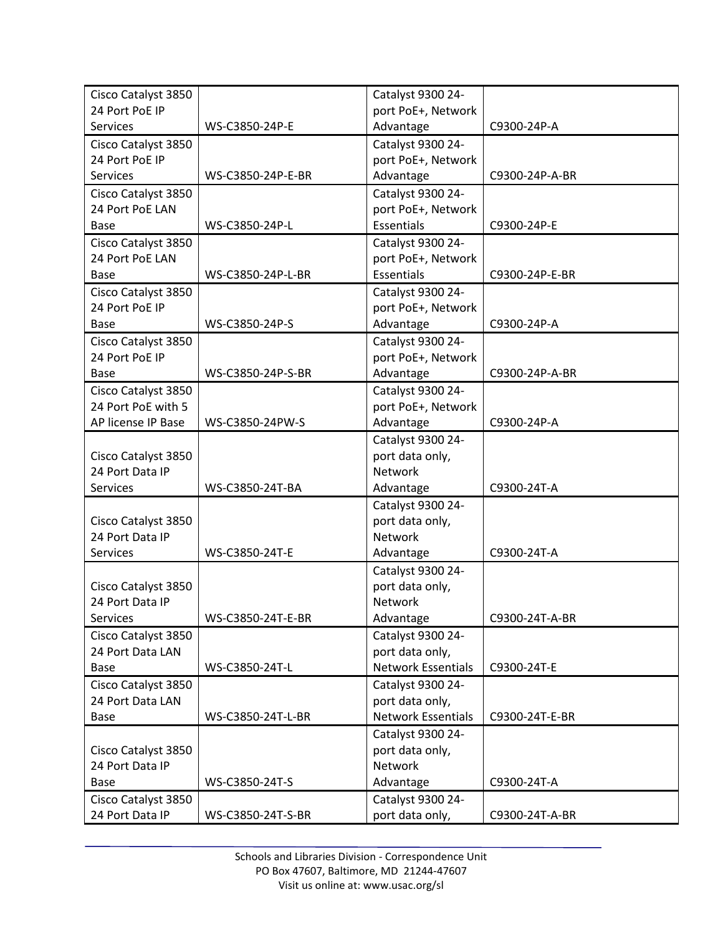| Cisco Catalyst 3850 |                   | Catalyst 9300 24-         |                |
|---------------------|-------------------|---------------------------|----------------|
| 24 Port PoE IP      |                   | port PoE+, Network        |                |
| <b>Services</b>     | WS-C3850-24P-E    | Advantage                 | C9300-24P-A    |
| Cisco Catalyst 3850 |                   | Catalyst 9300 24-         |                |
| 24 Port PoE IP      |                   | port PoE+, Network        |                |
| <b>Services</b>     | WS-C3850-24P-E-BR | Advantage                 | C9300-24P-A-BR |
| Cisco Catalyst 3850 |                   | Catalyst 9300 24-         |                |
| 24 Port PoE LAN     |                   | port PoE+, Network        |                |
| Base                | WS-C3850-24P-L    | Essentials                | C9300-24P-E    |
| Cisco Catalyst 3850 |                   | Catalyst 9300 24-         |                |
| 24 Port PoE LAN     |                   | port PoE+, Network        |                |
| Base                | WS-C3850-24P-L-BR | <b>Essentials</b>         | C9300-24P-E-BR |
| Cisco Catalyst 3850 |                   | Catalyst 9300 24-         |                |
| 24 Port PoE IP      |                   | port PoE+, Network        |                |
| Base                | WS-C3850-24P-S    | Advantage                 | C9300-24P-A    |
| Cisco Catalyst 3850 |                   | Catalyst 9300 24-         |                |
| 24 Port PoE IP      |                   | port PoE+, Network        |                |
| Base                | WS-C3850-24P-S-BR | Advantage                 | C9300-24P-A-BR |
| Cisco Catalyst 3850 |                   | Catalyst 9300 24-         |                |
| 24 Port PoE with 5  |                   | port PoE+, Network        |                |
| AP license IP Base  | WS-C3850-24PW-S   | Advantage                 | C9300-24P-A    |
|                     |                   | Catalyst 9300 24-         |                |
| Cisco Catalyst 3850 |                   | port data only,           |                |
| 24 Port Data IP     |                   | Network                   |                |
| <b>Services</b>     | WS-C3850-24T-BA   | Advantage                 | C9300-24T-A    |
|                     |                   | Catalyst 9300 24-         |                |
| Cisco Catalyst 3850 |                   | port data only,           |                |
| 24 Port Data IP     |                   | Network                   |                |
| <b>Services</b>     | WS-C3850-24T-E    | Advantage                 | C9300-24T-A    |
|                     |                   | Catalyst 9300 24-         |                |
| Cisco Catalyst 3850 |                   | port data only,           |                |
| 24 Port Data IP     |                   | Network                   |                |
| Services            | WS-C3850-24T-E-BR | Advantage                 | C9300-24T-A-BR |
| Cisco Catalyst 3850 |                   | Catalyst 9300 24-         |                |
| 24 Port Data LAN    |                   | port data only,           |                |
| Base                | WS-C3850-24T-L    | <b>Network Essentials</b> | C9300-24T-E    |
| Cisco Catalyst 3850 |                   | Catalyst 9300 24-         |                |
| 24 Port Data LAN    |                   | port data only,           |                |
| Base                | WS-C3850-24T-L-BR | <b>Network Essentials</b> | C9300-24T-E-BR |
|                     |                   | Catalyst 9300 24-         |                |
| Cisco Catalyst 3850 |                   | port data only,           |                |
| 24 Port Data IP     |                   | <b>Network</b>            |                |
| Base                | WS-C3850-24T-S    | Advantage                 | C9300-24T-A    |
| Cisco Catalyst 3850 |                   | Catalyst 9300 24-         |                |
| 24 Port Data IP     | WS-C3850-24T-S-BR | port data only,           | C9300-24T-A-BR |
|                     |                   |                           |                |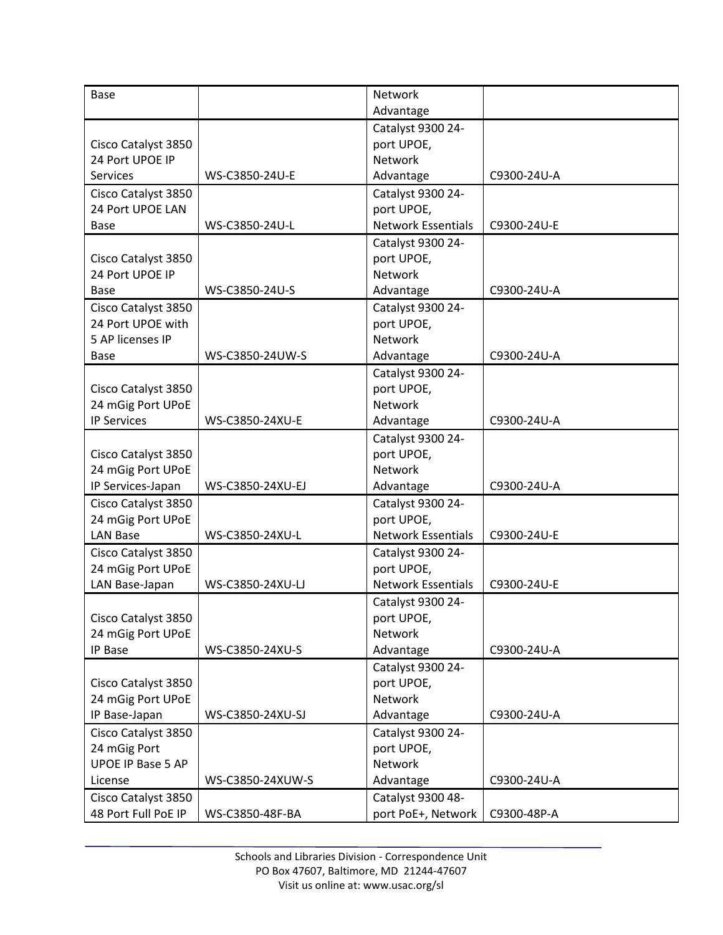| <b>Base</b>              |                  | Network                   |             |
|--------------------------|------------------|---------------------------|-------------|
|                          |                  | Advantage                 |             |
|                          |                  | Catalyst 9300 24-         |             |
| Cisco Catalyst 3850      |                  | port UPOE,                |             |
| 24 Port UPOE IP          |                  | Network                   |             |
| Services                 | WS-C3850-24U-E   | Advantage                 | C9300-24U-A |
| Cisco Catalyst 3850      |                  | Catalyst 9300 24-         |             |
| 24 Port UPOE LAN         |                  | port UPOE,                |             |
| Base                     | WS-C3850-24U-L   | <b>Network Essentials</b> | C9300-24U-E |
|                          |                  | Catalyst 9300 24-         |             |
| Cisco Catalyst 3850      |                  | port UPOE,                |             |
| 24 Port UPOE IP          |                  | Network                   |             |
| Base                     | WS-C3850-24U-S   | Advantage                 | C9300-24U-A |
| Cisco Catalyst 3850      |                  | Catalyst 9300 24-         |             |
| 24 Port UPOE with        |                  | port UPOE,                |             |
| 5 AP licenses IP         |                  | Network                   |             |
| Base                     | WS-C3850-24UW-S  | Advantage                 | C9300-24U-A |
|                          |                  | Catalyst 9300 24-         |             |
| Cisco Catalyst 3850      |                  | port UPOE,                |             |
| 24 mGig Port UPoE        |                  | Network                   |             |
| <b>IP Services</b>       | WS-C3850-24XU-E  | Advantage                 | C9300-24U-A |
|                          |                  | Catalyst 9300 24-         |             |
| Cisco Catalyst 3850      |                  | port UPOE,                |             |
| 24 mGig Port UPoE        |                  | Network                   |             |
| IP Services-Japan        | WS-C3850-24XU-EJ | Advantage                 | C9300-24U-A |
| Cisco Catalyst 3850      |                  | Catalyst 9300 24-         |             |
| 24 mGig Port UPoE        |                  | port UPOE,                |             |
| <b>LAN Base</b>          | WS-C3850-24XU-L  | <b>Network Essentials</b> | C9300-24U-E |
| Cisco Catalyst 3850      |                  | Catalyst 9300 24-         |             |
| 24 mGig Port UPoE        |                  | port UPOE,                |             |
| LAN Base-Japan           | WS-C3850-24XU-LJ | <b>Network Essentials</b> | C9300-24U-E |
|                          |                  | Catalyst 9300 24-         |             |
| Cisco Catalyst 3850      |                  | port UPOE,                |             |
| 24 mGig Port UPoE        |                  | Network                   |             |
| IP Base                  | WS-C3850-24XU-S  | Advantage                 | C9300-24U-A |
|                          |                  | Catalyst 9300 24-         |             |
| Cisco Catalyst 3850      |                  | port UPOE,                |             |
| 24 mGig Port UPoE        |                  | Network                   |             |
| IP Base-Japan            | WS-C3850-24XU-SJ | Advantage                 | C9300-24U-A |
| Cisco Catalyst 3850      |                  | Catalyst 9300 24-         |             |
| 24 mGig Port             |                  | port UPOE,                |             |
| <b>UPOE IP Base 5 AP</b> |                  | Network                   |             |
| License                  | WS-C3850-24XUW-S | Advantage                 | C9300-24U-A |
| Cisco Catalyst 3850      |                  | Catalyst 9300 48-         |             |
| 48 Port Full PoE IP      | WS-C3850-48F-BA  | port PoE+, Network        | C9300-48P-A |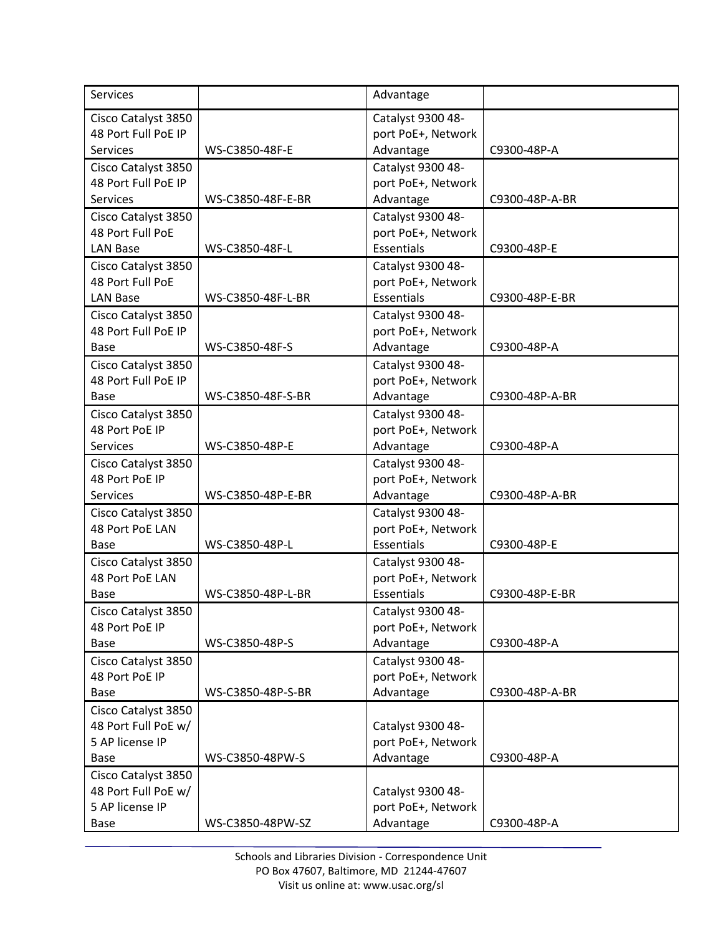| <b>Services</b>     |                   | Advantage          |                |
|---------------------|-------------------|--------------------|----------------|
| Cisco Catalyst 3850 |                   | Catalyst 9300 48-  |                |
| 48 Port Full PoE IP |                   | port PoE+, Network |                |
| <b>Services</b>     | WS-C3850-48F-E    | Advantage          | C9300-48P-A    |
| Cisco Catalyst 3850 |                   | Catalyst 9300 48-  |                |
| 48 Port Full PoE IP |                   | port PoE+, Network |                |
| <b>Services</b>     | WS-C3850-48F-E-BR | Advantage          | C9300-48P-A-BR |
| Cisco Catalyst 3850 |                   | Catalyst 9300 48-  |                |
| 48 Port Full PoE    |                   | port PoE+, Network |                |
| <b>LAN Base</b>     | WS-C3850-48F-L    | <b>Essentials</b>  | C9300-48P-E    |
| Cisco Catalyst 3850 |                   | Catalyst 9300 48-  |                |
| 48 Port Full PoE    |                   | port PoE+, Network |                |
| <b>LAN Base</b>     | WS-C3850-48F-L-BR | Essentials         | C9300-48P-E-BR |
| Cisco Catalyst 3850 |                   | Catalyst 9300 48-  |                |
| 48 Port Full PoE IP |                   | port PoE+, Network |                |
| Base                | WS-C3850-48F-S    | Advantage          | C9300-48P-A    |
| Cisco Catalyst 3850 |                   | Catalyst 9300 48-  |                |
| 48 Port Full PoE IP |                   | port PoE+, Network |                |
| Base                | WS-C3850-48F-S-BR | Advantage          | C9300-48P-A-BR |
| Cisco Catalyst 3850 |                   | Catalyst 9300 48-  |                |
| 48 Port PoE IP      |                   | port PoE+, Network |                |
| <b>Services</b>     | WS-C3850-48P-E    | Advantage          | C9300-48P-A    |
| Cisco Catalyst 3850 |                   | Catalyst 9300 48-  |                |
| 48 Port PoE IP      |                   | port PoE+, Network |                |
| Services            | WS-C3850-48P-E-BR | Advantage          | C9300-48P-A-BR |
| Cisco Catalyst 3850 |                   | Catalyst 9300 48-  |                |
| 48 Port PoE LAN     |                   | port PoE+, Network |                |
| Base                | WS-C3850-48P-L    | Essentials         | C9300-48P-E    |
| Cisco Catalyst 3850 |                   | Catalyst 9300 48-  |                |
| 48 Port PoE LAN     |                   | port PoE+, Network |                |
| Base                | WS-C3850-48P-L-BR | Essentials         | C9300-48P-E-BR |
| Cisco Catalyst 3850 |                   | Catalyst 9300 48-  |                |
| 48 Port PoE IP      |                   | port PoE+, Network |                |
| Base                | WS-C3850-48P-S    | Advantage          | C9300-48P-A    |
| Cisco Catalyst 3850 |                   | Catalyst 9300 48-  |                |
| 48 Port PoE IP      |                   | port PoE+, Network |                |
| Base                | WS-C3850-48P-S-BR | Advantage          | C9300-48P-A-BR |
| Cisco Catalyst 3850 |                   |                    |                |
| 48 Port Full PoE w/ |                   | Catalyst 9300 48-  |                |
| 5 AP license IP     |                   | port PoE+, Network |                |
| Base                | WS-C3850-48PW-S   | Advantage          | C9300-48P-A    |
| Cisco Catalyst 3850 |                   |                    |                |
| 48 Port Full PoE w/ |                   | Catalyst 9300 48-  |                |
| 5 AP license IP     |                   | port PoE+, Network |                |
| Base                | WS-C3850-48PW-SZ  | Advantage          | C9300-48P-A    |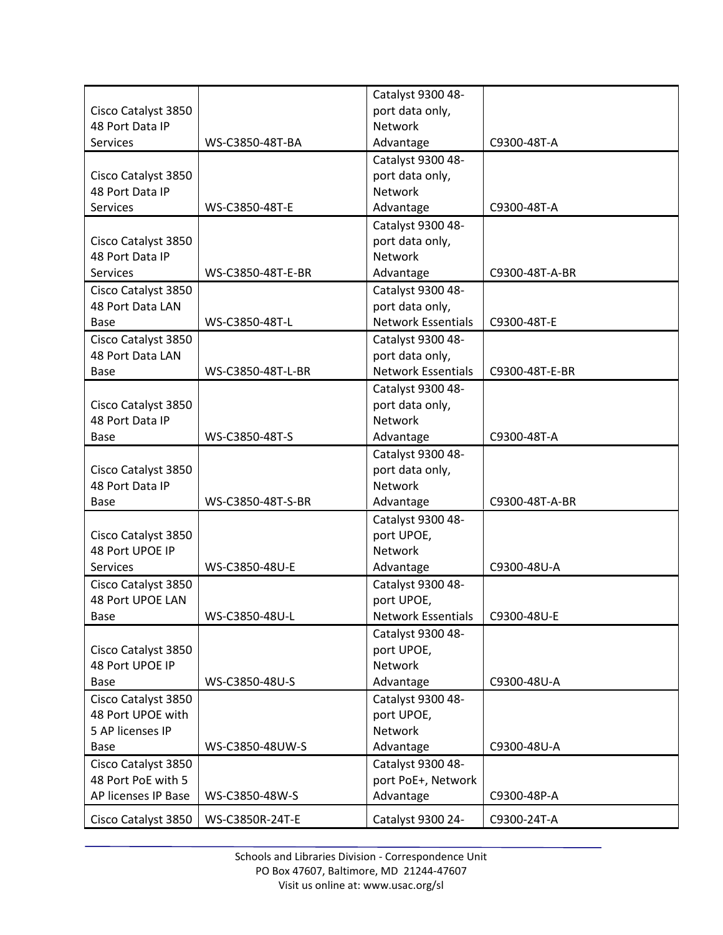|                                        |                   | Catalyst 9300 48-                 |                |
|----------------------------------------|-------------------|-----------------------------------|----------------|
| Cisco Catalyst 3850                    |                   | port data only,                   |                |
| 48 Port Data IP                        |                   | <b>Network</b>                    |                |
| Services                               | WS-C3850-48T-BA   | Advantage                         | C9300-48T-A    |
|                                        |                   | Catalyst 9300 48-                 |                |
| Cisco Catalyst 3850                    |                   | port data only,                   |                |
| 48 Port Data IP                        |                   | <b>Network</b>                    |                |
| Services                               | WS-C3850-48T-E    | Advantage                         | C9300-48T-A    |
|                                        |                   | Catalyst 9300 48-                 |                |
| Cisco Catalyst 3850                    |                   | port data only,                   |                |
| 48 Port Data IP                        |                   | Network                           |                |
| <b>Services</b>                        | WS-C3850-48T-E-BR | Advantage                         | C9300-48T-A-BR |
| Cisco Catalyst 3850                    |                   | Catalyst 9300 48-                 |                |
| 48 Port Data LAN                       |                   | port data only,                   |                |
| Base                                   | WS-C3850-48T-L    | <b>Network Essentials</b>         | C9300-48T-E    |
| Cisco Catalyst 3850                    |                   | Catalyst 9300 48-                 |                |
| 48 Port Data LAN                       |                   | port data only,                   |                |
| Base                                   | WS-C3850-48T-L-BR | <b>Network Essentials</b>         | C9300-48T-E-BR |
|                                        |                   | Catalyst 9300 48-                 |                |
|                                        |                   |                                   |                |
| Cisco Catalyst 3850<br>48 Port Data IP |                   | port data only,<br><b>Network</b> |                |
|                                        |                   |                                   |                |
| Base                                   | WS-C3850-48T-S    | Advantage                         | C9300-48T-A    |
|                                        |                   | Catalyst 9300 48-                 |                |
| Cisco Catalyst 3850                    |                   | port data only,                   |                |
| 48 Port Data IP                        |                   | Network                           |                |
| Base                                   | WS-C3850-48T-S-BR | Advantage                         | C9300-48T-A-BR |
|                                        |                   | Catalyst 9300 48-                 |                |
| Cisco Catalyst 3850                    |                   | port UPOE,                        |                |
| 48 Port UPOE IP                        |                   | Network                           |                |
| <b>Services</b>                        | WS-C3850-48U-E    | Advantage                         | C9300-48U-A    |
| Cisco Catalyst 3850                    |                   | Catalyst 9300 48-                 |                |
| 48 Port UPOE LAN                       |                   | port UPOE,                        |                |
| Base                                   | WS-C3850-48U-L    | <b>Network Essentials</b>         | C9300-48U-E    |
|                                        |                   | Catalyst 9300 48-                 |                |
| Cisco Catalyst 3850                    |                   | port UPOE,                        |                |
| 48 Port UPOE IP                        |                   | Network                           |                |
| Base                                   | WS-C3850-48U-S    | Advantage                         | C9300-48U-A    |
| Cisco Catalyst 3850                    |                   | Catalyst 9300 48-                 |                |
| 48 Port UPOE with                      |                   | port UPOE,                        |                |
| 5 AP licenses IP                       |                   | Network                           |                |
| Base                                   | WS-C3850-48UW-S   | Advantage                         | C9300-48U-A    |
| Cisco Catalyst 3850                    |                   | Catalyst 9300 48-                 |                |
| 48 Port PoE with 5                     |                   | port PoE+, Network                |                |
| AP licenses IP Base                    | WS-C3850-48W-S    | Advantage                         | C9300-48P-A    |
| Cisco Catalyst 3850                    | WS-C3850R-24T-E   | Catalyst 9300 24-                 | C9300-24T-A    |
|                                        |                   |                                   |                |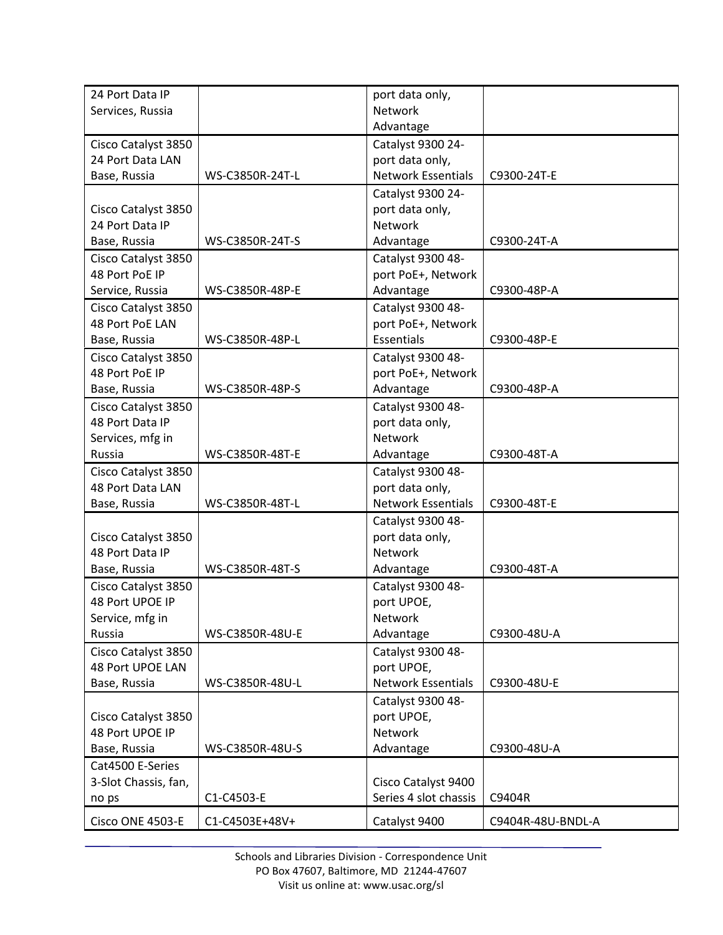| 24 Port Data IP      |                 | port data only,           |                   |
|----------------------|-----------------|---------------------------|-------------------|
| Services, Russia     |                 | Network                   |                   |
|                      |                 | Advantage                 |                   |
| Cisco Catalyst 3850  |                 | Catalyst 9300 24-         |                   |
| 24 Port Data LAN     |                 | port data only,           |                   |
| Base, Russia         | WS-C3850R-24T-L | <b>Network Essentials</b> | C9300-24T-E       |
|                      |                 | Catalyst 9300 24-         |                   |
| Cisco Catalyst 3850  |                 | port data only,           |                   |
| 24 Port Data IP      |                 | <b>Network</b>            |                   |
| Base, Russia         | WS-C3850R-24T-S | Advantage                 | C9300-24T-A       |
| Cisco Catalyst 3850  |                 | Catalyst 9300 48-         |                   |
| 48 Port PoE IP       |                 | port PoE+, Network        |                   |
| Service, Russia      | WS-C3850R-48P-E | Advantage                 | C9300-48P-A       |
| Cisco Catalyst 3850  |                 | Catalyst 9300 48-         |                   |
| 48 Port PoE LAN      |                 | port PoE+, Network        |                   |
| Base, Russia         | WS-C3850R-48P-L | <b>Essentials</b>         | C9300-48P-E       |
| Cisco Catalyst 3850  |                 | Catalyst 9300 48-         |                   |
| 48 Port PoE IP       |                 | port PoE+, Network        |                   |
| Base, Russia         | WS-C3850R-48P-S | Advantage                 | C9300-48P-A       |
| Cisco Catalyst 3850  |                 | Catalyst 9300 48-         |                   |
| 48 Port Data IP      |                 | port data only,           |                   |
| Services, mfg in     |                 | Network                   |                   |
| Russia               | WS-C3850R-48T-E | Advantage                 | C9300-48T-A       |
| Cisco Catalyst 3850  |                 | Catalyst 9300 48-         |                   |
| 48 Port Data LAN     |                 | port data only,           |                   |
| Base, Russia         | WS-C3850R-48T-L | <b>Network Essentials</b> | C9300-48T-E       |
|                      |                 | Catalyst 9300 48-         |                   |
| Cisco Catalyst 3850  |                 | port data only,           |                   |
| 48 Port Data IP      |                 | Network                   |                   |
| Base, Russia         | WS-C3850R-48T-S | Advantage                 | C9300-48T-A       |
| Cisco Catalyst 3850  |                 | Catalyst 9300 48-         |                   |
| 48 Port UPOE IP      |                 | port UPOE,                |                   |
| Service, mfg in      |                 | Network                   |                   |
| Russia               | WS-C3850R-48U-E | Advantage                 | C9300-48U-A       |
| Cisco Catalyst 3850  |                 | Catalyst 9300 48-         |                   |
| 48 Port UPOE LAN     |                 | port UPOE,                |                   |
| Base, Russia         | WS-C3850R-48U-L | <b>Network Essentials</b> | C9300-48U-E       |
|                      |                 | Catalyst 9300 48-         |                   |
| Cisco Catalyst 3850  |                 | port UPOE,                |                   |
| 48 Port UPOE IP      |                 | Network                   |                   |
| Base, Russia         | WS-C3850R-48U-S | Advantage                 | C9300-48U-A       |
| Cat4500 E-Series     |                 |                           |                   |
| 3-Slot Chassis, fan, |                 | Cisco Catalyst 9400       |                   |
| no ps                | C1-C4503-E      | Series 4 slot chassis     | C9404R            |
| Cisco ONE 4503-E     | C1-C4503E+48V+  | Catalyst 9400             | C9404R-48U-BNDL-A |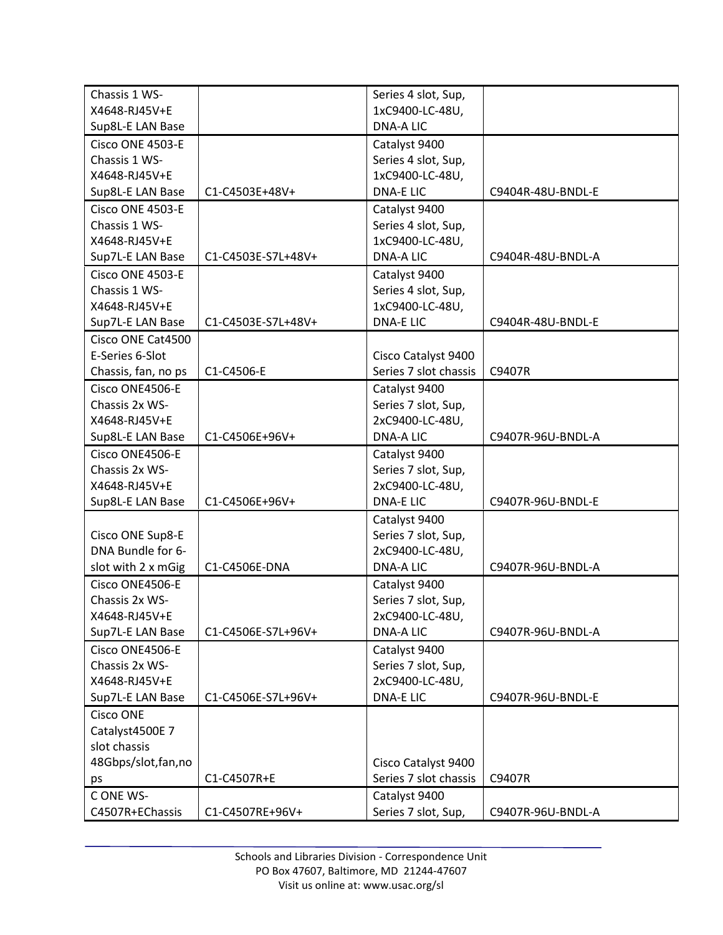| Chassis 1 WS-                |                    | Series 4 slot, Sup,                |                   |
|------------------------------|--------------------|------------------------------------|-------------------|
| X4648-RJ45V+E                |                    | 1xC9400-LC-48U,                    |                   |
| Sup8L-E LAN Base             |                    | <b>DNA-A LIC</b>                   |                   |
| Cisco ONE 4503-E             |                    | Catalyst 9400                      |                   |
| Chassis 1 WS-                |                    | Series 4 slot, Sup,                |                   |
| X4648-RJ45V+E                |                    | 1xC9400-LC-48U,                    |                   |
| Sup8L-E LAN Base             | C1-C4503E+48V+     | <b>DNA-ELIC</b>                    | C9404R-48U-BNDL-E |
| Cisco ONE 4503-E             |                    | Catalyst 9400                      |                   |
| Chassis 1 WS-                |                    | Series 4 slot, Sup,                |                   |
| X4648-RJ45V+E                |                    | 1xC9400-LC-48U,                    |                   |
| Sup7L-E LAN Base             | C1-C4503E-S7L+48V+ | <b>DNA-A LIC</b>                   | C9404R-48U-BNDL-A |
| Cisco ONE 4503-E             |                    | Catalyst 9400                      |                   |
| Chassis 1 WS-                |                    | Series 4 slot, Sup,                |                   |
| X4648-RJ45V+E                |                    | 1xC9400-LC-48U,                    |                   |
| Sup7L-E LAN Base             | C1-C4503E-S7L+48V+ | <b>DNA-ELIC</b>                    | C9404R-48U-BNDL-E |
| Cisco ONE Cat4500            |                    |                                    |                   |
| E-Series 6-Slot              |                    | Cisco Catalyst 9400                |                   |
| Chassis, fan, no ps          | C1-C4506-E         | Series 7 slot chassis              | C9407R            |
| Cisco ONE4506-E              |                    | Catalyst 9400                      |                   |
| Chassis 2x WS-               |                    | Series 7 slot, Sup,                |                   |
| X4648-RJ45V+E                |                    | 2xC9400-LC-48U,                    |                   |
| Sup8L-E LAN Base             | C1-C4506E+96V+     | <b>DNA-A LIC</b>                   | C9407R-96U-BNDL-A |
| Cisco ONE4506-E              |                    | Catalyst 9400                      |                   |
| Chassis 2x WS-               |                    | Series 7 slot, Sup,                |                   |
| X4648-RJ45V+E                |                    | 2xC9400-LC-48U,                    |                   |
| Sup8L-E LAN Base             | C1-C4506E+96V+     | <b>DNA-ELIC</b>                    | C9407R-96U-BNDL-E |
|                              |                    | Catalyst 9400                      |                   |
| Cisco ONE Sup8-E             |                    | Series 7 slot, Sup,                |                   |
| DNA Bundle for 6-            |                    | 2xC9400-LC-48U,                    |                   |
| slot with 2 x mGig           | C1-C4506E-DNA      | <b>DNA-ALIC</b>                    | C9407R-96U-BNDL-A |
| Cisco ONE4506-E              |                    | Catalyst 9400                      |                   |
| Chassis 2x WS-               |                    | Series 7 slot, Sup,                |                   |
| X4648-RJ45V+E                |                    | 2xC9400-LC-48U,                    |                   |
| Sup7L-E LAN Base             | C1-C4506E-S7L+96V+ | <b>DNA-A LIC</b>                   | C9407R-96U-BNDL-A |
| Cisco ONE4506-E              |                    | Catalyst 9400                      |                   |
| Chassis 2x WS-               |                    | Series 7 slot, Sup,                |                   |
| X4648-RJ45V+E                |                    |                                    |                   |
|                              | C1-C4506E-S7L+96V+ | 2xC9400-LC-48U,<br><b>DNA-ELIC</b> | C9407R-96U-BNDL-E |
| Sup7L-E LAN Base             |                    |                                    |                   |
| Cisco ONE<br>Catalyst4500E 7 |                    |                                    |                   |
|                              |                    |                                    |                   |
| slot chassis                 |                    |                                    |                   |
| 48Gbps/slot, fan, no         |                    | Cisco Catalyst 9400                |                   |
| ps                           | C1-C4507R+E        | Series 7 slot chassis              | C9407R            |
| CONE WS-                     |                    | Catalyst 9400                      |                   |
| C4507R+EChassis              | C1-C4507RE+96V+    | Series 7 slot, Sup,                | C9407R-96U-BNDL-A |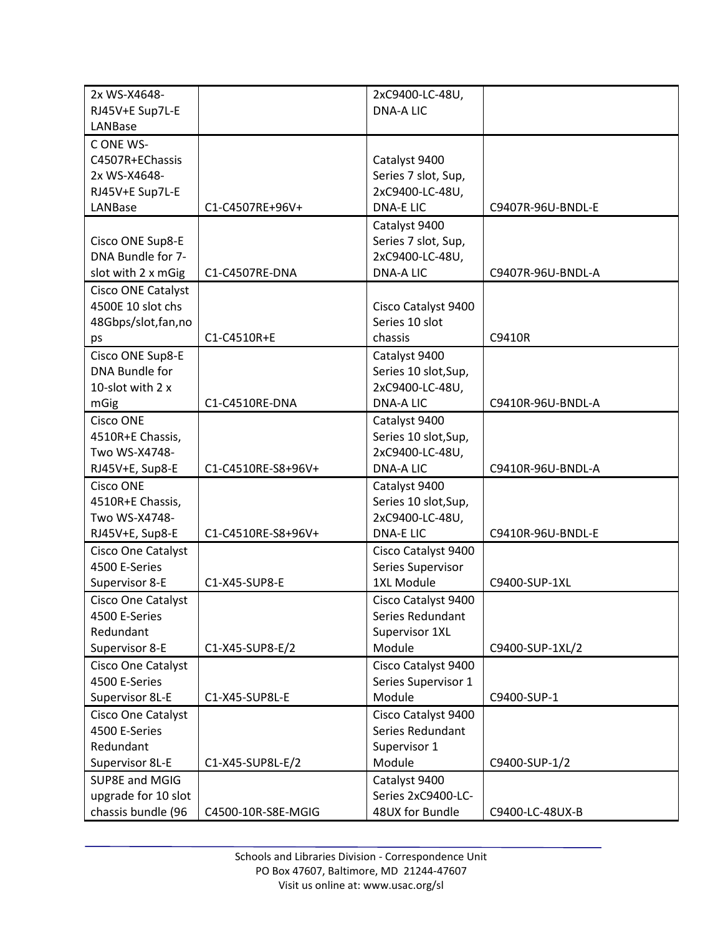| 2x WS-X4648-              |                    | 2xC9400-LC-48U,                     |                   |
|---------------------------|--------------------|-------------------------------------|-------------------|
| RJ45V+E Sup7L-E           |                    | <b>DNA-A LIC</b>                    |                   |
| LANBase                   |                    |                                     |                   |
| CONE WS-                  |                    |                                     |                   |
| C4507R+EChassis           |                    | Catalyst 9400                       |                   |
| 2x WS-X4648-              |                    | Series 7 slot, Sup,                 |                   |
| RJ45V+E Sup7L-E           |                    | 2xC9400-LC-48U,                     |                   |
| LANBase                   | C1-C4507RE+96V+    | <b>DNA-E LIC</b>                    | C9407R-96U-BNDL-E |
|                           |                    | Catalyst 9400                       |                   |
| Cisco ONE Sup8-E          |                    | Series 7 slot, Sup,                 |                   |
| DNA Bundle for 7-         |                    | 2xC9400-LC-48U,                     |                   |
| slot with 2 x mGig        | C1-C4507RE-DNA     | <b>DNA-A LIC</b>                    | C9407R-96U-BNDL-A |
| Cisco ONE Catalyst        |                    |                                     |                   |
| 4500E 10 slot chs         |                    | Cisco Catalyst 9400                 |                   |
| 48Gbps/slot, fan, no      |                    | Series 10 slot                      |                   |
| ps                        | C1-C4510R+E        | chassis                             | C9410R            |
| Cisco ONE Sup8-E          |                    | Catalyst 9400                       |                   |
| DNA Bundle for            |                    | Series 10 slot, Sup,                |                   |
| 10-slot with 2 x          |                    | 2xC9400-LC-48U,                     |                   |
| mGig                      | C1-C4510RE-DNA     | <b>DNA-A LIC</b>                    | C9410R-96U-BNDL-A |
| <b>Cisco ONE</b>          |                    |                                     |                   |
|                           |                    | Catalyst 9400                       |                   |
| 4510R+E Chassis,          |                    | Series 10 slot, Sup,                |                   |
| Two WS-X4748-             |                    | 2xC9400-LC-48U,<br><b>DNA-A LIC</b> |                   |
| RJ45V+E, Sup8-E           | C1-C4510RE-S8+96V+ |                                     | C9410R-96U-BNDL-A |
| <b>Cisco ONE</b>          |                    | Catalyst 9400                       |                   |
| 4510R+E Chassis,          |                    | Series 10 slot, Sup,                |                   |
| Two WS-X4748-             |                    | 2xC9400-LC-48U,                     |                   |
| RJ45V+E, Sup8-E           | C1-C4510RE-S8+96V+ | <b>DNA-E LIC</b>                    | C9410R-96U-BNDL-E |
| <b>Cisco One Catalyst</b> |                    | Cisco Catalyst 9400                 |                   |
| 4500 E-Series             |                    | Series Supervisor                   |                   |
| Supervisor 8-E            | C1-X45-SUP8-E      | 1XL Module                          | C9400-SUP-1XL     |
| <b>Cisco One Catalyst</b> |                    | Cisco Catalyst 9400                 |                   |
| 4500 E-Series             |                    | Series Redundant                    |                   |
| Redundant                 |                    | Supervisor 1XL                      |                   |
| Supervisor 8-E            | C1-X45-SUP8-E/2    | Module                              | C9400-SUP-1XL/2   |
| Cisco One Catalyst        |                    | Cisco Catalyst 9400                 |                   |
| 4500 E-Series             |                    | Series Supervisor 1                 |                   |
| Supervisor 8L-E           | C1-X45-SUP8L-E     | Module                              | C9400-SUP-1       |
| Cisco One Catalyst        |                    | Cisco Catalyst 9400                 |                   |
| 4500 E-Series             |                    | Series Redundant                    |                   |
| Redundant                 |                    | Supervisor 1                        |                   |
| Supervisor 8L-E           | C1-X45-SUP8L-E/2   | Module                              | C9400-SUP-1/2     |
| SUP8E and MGIG            |                    | Catalyst 9400                       |                   |
| upgrade for 10 slot       |                    | Series 2xC9400-LC-                  |                   |
| chassis bundle (96        | C4500-10R-S8E-MGIG | 48UX for Bundle                     | C9400-LC-48UX-B   |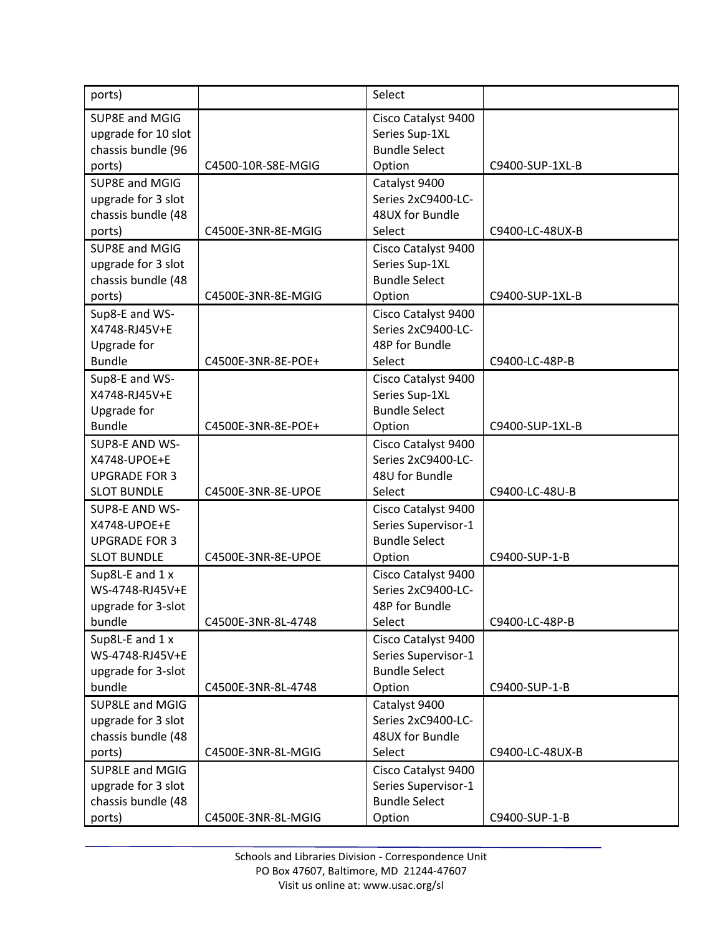| ports)                         |                    | Select                                     |                 |
|--------------------------------|--------------------|--------------------------------------------|-----------------|
| SUP8E and MGIG                 |                    | Cisco Catalyst 9400                        |                 |
| upgrade for 10 slot            |                    | Series Sup-1XL                             |                 |
| chassis bundle (96             |                    | <b>Bundle Select</b><br>Option             | C9400-SUP-1XL-B |
| ports)<br>SUP8E and MGIG       | C4500-10R-S8E-MGIG |                                            |                 |
| upgrade for 3 slot             |                    | Catalyst 9400<br>Series 2xC9400-LC-        |                 |
| chassis bundle (48             |                    | 48UX for Bundle                            |                 |
| ports)                         | C4500E-3NR-8E-MGIG | Select                                     | C9400-LC-48UX-B |
| SUP8E and MGIG                 |                    | Cisco Catalyst 9400                        |                 |
| upgrade for 3 slot             |                    | Series Sup-1XL                             |                 |
| chassis bundle (48             |                    | <b>Bundle Select</b>                       |                 |
| ports)                         | C4500E-3NR-8E-MGIG | Option                                     | C9400-SUP-1XL-B |
| Sup8-E and WS-                 |                    | Cisco Catalyst 9400                        |                 |
| X4748-RJ45V+E                  |                    | Series 2xC9400-LC-                         |                 |
| Upgrade for                    |                    | 48P for Bundle                             |                 |
| <b>Bundle</b>                  | C4500E-3NR-8E-POE+ | Select                                     | C9400-LC-48P-B  |
| Sup8-E and WS-                 |                    | Cisco Catalyst 9400                        |                 |
| X4748-RJ45V+E                  |                    | Series Sup-1XL                             |                 |
| Upgrade for                    |                    | <b>Bundle Select</b>                       |                 |
| <b>Bundle</b>                  | C4500E-3NR-8E-POE+ | Option                                     | C9400-SUP-1XL-B |
| SUP8-E AND WS-                 |                    | Cisco Catalyst 9400                        |                 |
| X4748-UPOE+E                   |                    | Series 2xC9400-LC-                         |                 |
| <b>UPGRADE FOR 3</b>           |                    | 48U for Bundle                             |                 |
| <b>SLOT BUNDLE</b>             | C4500E-3NR-8E-UPOE | Select                                     | C9400-LC-48U-B  |
| SUP8-E AND WS-<br>X4748-UPOE+E |                    | Cisco Catalyst 9400<br>Series Supervisor-1 |                 |
| <b>UPGRADE FOR 3</b>           |                    | <b>Bundle Select</b>                       |                 |
| <b>SLOT BUNDLE</b>             | C4500E-3NR-8E-UPOE | Option                                     | C9400-SUP-1-B   |
| Sup8L-E and 1 x                |                    | Cisco Catalyst 9400                        |                 |
| WS-4748-RJ45V+E                |                    | Series 2xC9400-LC-                         |                 |
| upgrade for 3-slot             |                    | 48P for Bundle                             |                 |
| bundle                         | C4500E-3NR-8L-4748 | Select                                     | C9400-LC-48P-B  |
| Sup8L-E and 1 x                |                    | Cisco Catalyst 9400                        |                 |
| WS-4748-RJ45V+E                |                    | Series Supervisor-1                        |                 |
| upgrade for 3-slot             |                    | <b>Bundle Select</b>                       |                 |
| bundle                         | C4500E-3NR-8L-4748 | Option                                     | C9400-SUP-1-B   |
| SUP8LE and MGIG                |                    | Catalyst 9400                              |                 |
| upgrade for 3 slot             |                    | Series 2xC9400-LC-                         |                 |
| chassis bundle (48             |                    | 48UX for Bundle                            |                 |
| ports)                         | C4500E-3NR-8L-MGIG | Select                                     | C9400-LC-48UX-B |
| SUP8LE and MGIG                |                    | Cisco Catalyst 9400                        |                 |
| upgrade for 3 slot             |                    | Series Supervisor-1                        |                 |
| chassis bundle (48             |                    | <b>Bundle Select</b>                       |                 |
| ports)                         | C4500E-3NR-8L-MGIG | Option                                     | C9400-SUP-1-B   |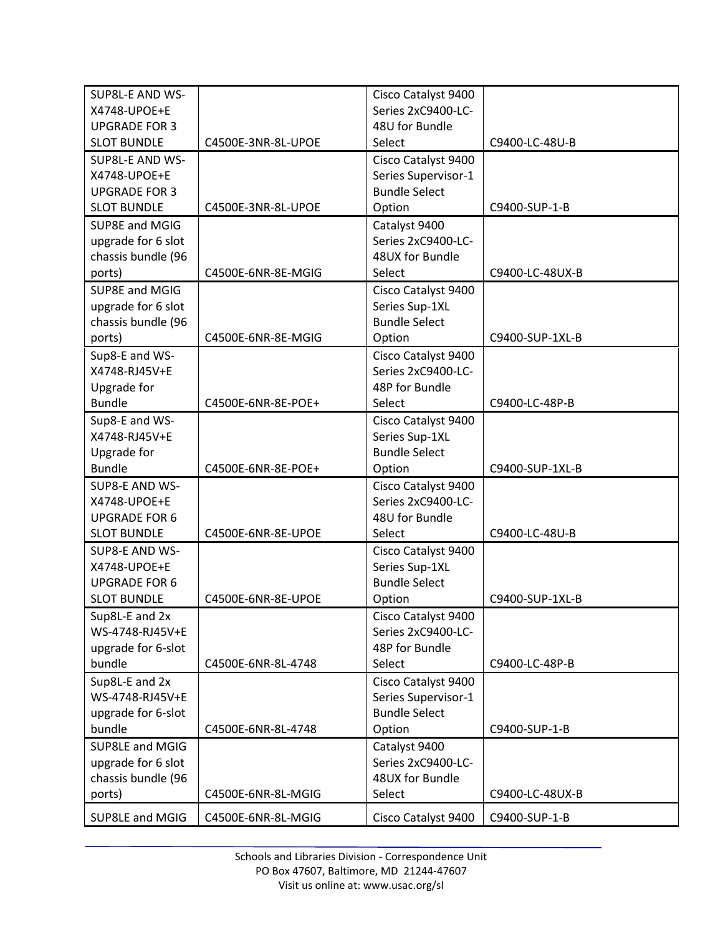| SUP8L-E AND WS-      |                    | Cisco Catalyst 9400  |                 |
|----------------------|--------------------|----------------------|-----------------|
| X4748-UPOE+E         |                    | Series 2xC9400-LC-   |                 |
| <b>UPGRADE FOR 3</b> |                    | 48U for Bundle       |                 |
| <b>SLOT BUNDLE</b>   | C4500E-3NR-8L-UPOE | Select               | C9400-LC-48U-B  |
| SUP8L-E AND WS-      |                    | Cisco Catalyst 9400  |                 |
| X4748-UPOE+E         |                    | Series Supervisor-1  |                 |
| <b>UPGRADE FOR 3</b> |                    | <b>Bundle Select</b> |                 |
| <b>SLOT BUNDLE</b>   | C4500E-3NR-8L-UPOE | Option               | C9400-SUP-1-B   |
| SUP8E and MGIG       |                    | Catalyst 9400        |                 |
| upgrade for 6 slot   |                    | Series 2xC9400-LC-   |                 |
| chassis bundle (96   |                    | 48UX for Bundle      |                 |
| ports)               | C4500E-6NR-8E-MGIG | Select               | C9400-LC-48UX-B |
| SUP8E and MGIG       |                    | Cisco Catalyst 9400  |                 |
| upgrade for 6 slot   |                    | Series Sup-1XL       |                 |
| chassis bundle (96   |                    | <b>Bundle Select</b> |                 |
| ports)               | C4500E-6NR-8E-MGIG | Option               | C9400-SUP-1XL-B |
| Sup8-E and WS-       |                    | Cisco Catalyst 9400  |                 |
| X4748-RJ45V+E        |                    | Series 2xC9400-LC-   |                 |
| Upgrade for          |                    | 48P for Bundle       |                 |
| <b>Bundle</b>        | C4500E-6NR-8E-POE+ | Select               | C9400-LC-48P-B  |
| Sup8-E and WS-       |                    | Cisco Catalyst 9400  |                 |
| X4748-RJ45V+E        |                    | Series Sup-1XL       |                 |
| Upgrade for          |                    | <b>Bundle Select</b> |                 |
| <b>Bundle</b>        | C4500E-6NR-8E-POE+ | Option               | C9400-SUP-1XL-B |
| SUP8-E AND WS-       |                    | Cisco Catalyst 9400  |                 |
| X4748-UPOE+E         |                    | Series 2xC9400-LC-   |                 |
| <b>UPGRADE FOR 6</b> |                    | 48U for Bundle       |                 |
| <b>SLOT BUNDLE</b>   | C4500E-6NR-8E-UPOE | Select               | C9400-LC-48U-B  |
| SUP8-E AND WS-       |                    | Cisco Catalyst 9400  |                 |
| X4748-UPOE+E         |                    | Series Sup-1XL       |                 |
| <b>UPGRADE FOR 6</b> |                    | <b>Bundle Select</b> |                 |
| <b>SLOT BUNDLE</b>   | C4500E-6NR-8E-UPOE | Option               | C9400-SUP-1XL-B |
| Sup8L-E and 2x       |                    | Cisco Catalyst 9400  |                 |
| WS-4748-RJ45V+E      |                    | Series 2xC9400-LC-   |                 |
| upgrade for 6-slot   |                    | 48P for Bundle       |                 |
| bundle               | C4500E-6NR-8L-4748 | Select               | C9400-LC-48P-B  |
| Sup8L-E and 2x       |                    | Cisco Catalyst 9400  |                 |
| WS-4748-RJ45V+E      |                    | Series Supervisor-1  |                 |
| upgrade for 6-slot   |                    | <b>Bundle Select</b> |                 |
| bundle               | C4500E-6NR-8L-4748 | Option               | C9400-SUP-1-B   |
| SUP8LE and MGIG      |                    | Catalyst 9400        |                 |
| upgrade for 6 slot   |                    | Series 2xC9400-LC-   |                 |
| chassis bundle (96   |                    | 48UX for Bundle      |                 |
| ports)               | C4500E-6NR-8L-MGIG | Select               | C9400-LC-48UX-B |
| SUP8LE and MGIG      | C4500E-6NR-8L-MGIG | Cisco Catalyst 9400  | C9400-SUP-1-B   |
|                      |                    |                      |                 |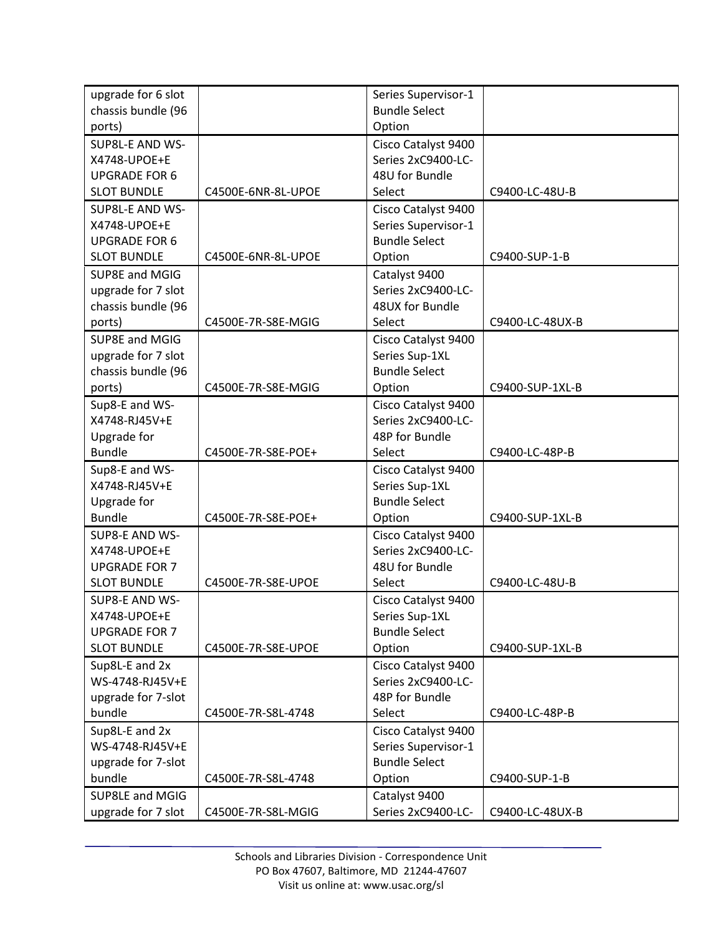| upgrade for 6 slot                   |                    | Series Supervisor-1                       |                 |
|--------------------------------------|--------------------|-------------------------------------------|-----------------|
| chassis bundle (96                   |                    | <b>Bundle Select</b>                      |                 |
| ports)                               |                    | Option                                    |                 |
| SUP8L-E AND WS-                      |                    | Cisco Catalyst 9400                       |                 |
| X4748-UPOE+E                         |                    | Series 2xC9400-LC-                        |                 |
| <b>UPGRADE FOR 6</b>                 |                    | 48U for Bundle                            |                 |
| <b>SLOT BUNDLE</b>                   | C4500E-6NR-8L-UPOE | Select                                    | C9400-LC-48U-B  |
| SUP8L-E AND WS-                      |                    | Cisco Catalyst 9400                       |                 |
| X4748-UPOE+E                         |                    | Series Supervisor-1                       |                 |
| <b>UPGRADE FOR 6</b>                 |                    | <b>Bundle Select</b>                      |                 |
| <b>SLOT BUNDLE</b>                   | C4500E-6NR-8L-UPOE | Option                                    | C9400-SUP-1-B   |
| SUP8E and MGIG                       |                    | Catalyst 9400                             |                 |
| upgrade for 7 slot                   |                    | Series 2xC9400-LC-                        |                 |
| chassis bundle (96                   |                    | 48UX for Bundle                           |                 |
| ports)                               | C4500E-7R-S8E-MGIG | Select                                    | C9400-LC-48UX-B |
| SUP8E and MGIG                       |                    | Cisco Catalyst 9400                       |                 |
| upgrade for 7 slot                   |                    | Series Sup-1XL                            |                 |
| chassis bundle (96                   |                    | <b>Bundle Select</b>                      |                 |
| ports)                               | C4500E-7R-S8E-MGIG | Option                                    | C9400-SUP-1XL-B |
| Sup8-E and WS-                       |                    |                                           |                 |
| X4748-RJ45V+E                        |                    | Cisco Catalyst 9400<br>Series 2xC9400-LC- |                 |
|                                      |                    | 48P for Bundle                            |                 |
| Upgrade for<br><b>Bundle</b>         | C4500E-7R-S8E-POE+ | Select                                    | C9400-LC-48P-B  |
|                                      |                    |                                           |                 |
| Sup8-E and WS-<br>X4748-RJ45V+E      |                    | Cisco Catalyst 9400<br>Series Sup-1XL     |                 |
| Upgrade for                          |                    | <b>Bundle Select</b>                      |                 |
| <b>Bundle</b>                        | C4500E-7R-S8E-POE+ | Option                                    | C9400-SUP-1XL-B |
| SUP8-E AND WS-                       |                    |                                           |                 |
| X4748-UPOE+E                         |                    | Cisco Catalyst 9400<br>Series 2xC9400-LC- |                 |
| <b>UPGRADE FOR 7</b>                 |                    | 48U for Bundle                            |                 |
| <b>SLOT BUNDLE</b>                   | C4500E-7R-S8E-UPOE | Select                                    | C9400-LC-48U-B  |
|                                      |                    |                                           |                 |
| SUP8-E AND WS-                       |                    | Cisco Catalyst 9400                       |                 |
| X4748-UPOE+E<br><b>UPGRADE FOR 7</b> |                    | Series Sup-1XL<br><b>Bundle Select</b>    |                 |
| <b>SLOT BUNDLE</b>                   | C4500E-7R-S8E-UPOE | Option                                    | C9400-SUP-1XL-B |
|                                      |                    |                                           |                 |
| Sup8L-E and 2x                       |                    | Cisco Catalyst 9400                       |                 |
| WS-4748-RJ45V+E                      |                    | Series 2xC9400-LC-                        |                 |
| upgrade for 7-slot<br>bundle         |                    | 48P for Bundle                            |                 |
|                                      | C4500E-7R-S8L-4748 | Select                                    | C9400-LC-48P-B  |
| Sup8L-E and 2x                       |                    | Cisco Catalyst 9400                       |                 |
| WS-4748-RJ45V+E                      |                    | Series Supervisor-1                       |                 |
| upgrade for 7-slot                   |                    | <b>Bundle Select</b>                      |                 |
| bundle                               | C4500E-7R-S8L-4748 | Option                                    | C9400-SUP-1-B   |
| SUP8LE and MGIG                      |                    | Catalyst 9400                             |                 |
| upgrade for 7 slot                   | C4500E-7R-S8L-MGIG | Series 2xC9400-LC-                        | C9400-LC-48UX-B |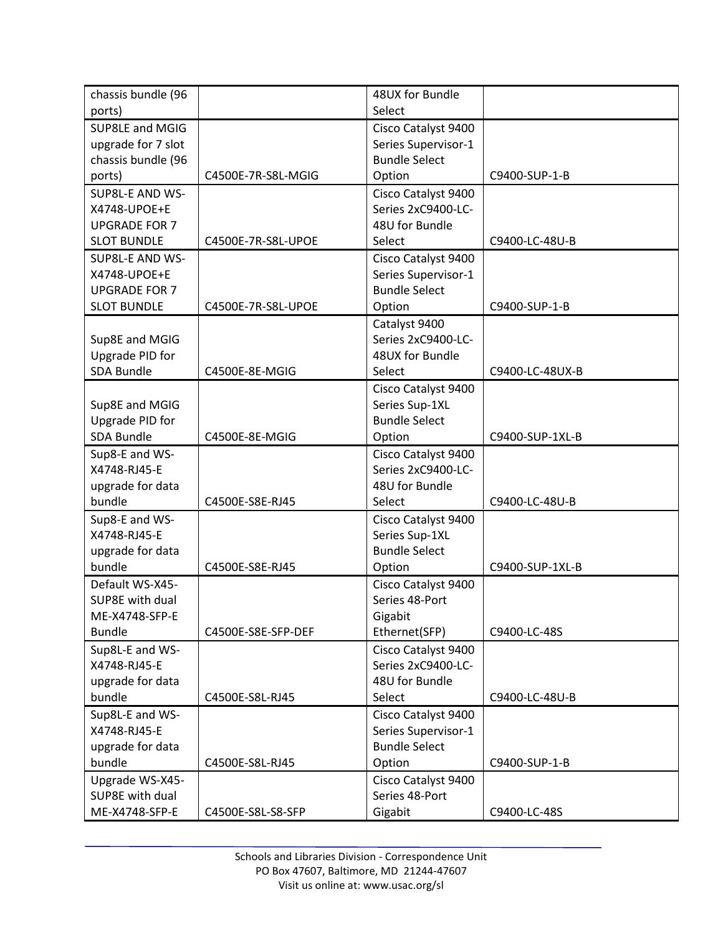| chassis bundle (96   |                    | 48UX for Bundle      |                 |
|----------------------|--------------------|----------------------|-----------------|
| ports)               |                    | Select               |                 |
| SUP8LE and MGIG      |                    | Cisco Catalyst 9400  |                 |
| upgrade for 7 slot   |                    | Series Supervisor-1  |                 |
| chassis bundle (96   |                    | <b>Bundle Select</b> |                 |
| ports)               | C4500E-7R-S8L-MGIG | Option               | C9400-SUP-1-B   |
| SUP8L-E AND WS-      |                    | Cisco Catalyst 9400  |                 |
| X4748-UPOE+E         |                    | Series 2xC9400-LC-   |                 |
| <b>UPGRADE FOR 7</b> |                    | 48U for Bundle       |                 |
| <b>SLOT BUNDLE</b>   | C4500E-7R-S8L-UPOE | Select               | C9400-LC-48U-B  |
| SUP8L-E AND WS-      |                    | Cisco Catalyst 9400  |                 |
| X4748-UPOE+E         |                    | Series Supervisor-1  |                 |
| <b>UPGRADE FOR 7</b> |                    | <b>Bundle Select</b> |                 |
| <b>SLOT BUNDLE</b>   | C4500E-7R-S8L-UPOE | Option               | C9400-SUP-1-B   |
|                      |                    | Catalyst 9400        |                 |
| Sup8E and MGIG       |                    | Series 2xC9400-LC-   |                 |
| Upgrade PID for      |                    | 48UX for Bundle      |                 |
| <b>SDA Bundle</b>    | C4500E-8E-MGIG     | Select               | C9400-LC-48UX-B |
|                      |                    | Cisco Catalyst 9400  |                 |
| Sup8E and MGIG       |                    | Series Sup-1XL       |                 |
| Upgrade PID for      |                    | <b>Bundle Select</b> |                 |
| SDA Bundle           | C4500E-8E-MGIG     | Option               | C9400-SUP-1XL-B |
| Sup8-E and WS-       |                    | Cisco Catalyst 9400  |                 |
| X4748-RJ45-E         |                    | Series 2xC9400-LC-   |                 |
| upgrade for data     |                    | 48U for Bundle       |                 |
| bundle               | C4500E-S8E-RJ45    | Select               | C9400-LC-48U-B  |
| Sup8-E and WS-       |                    | Cisco Catalyst 9400  |                 |
| X4748-RJ45-E         |                    | Series Sup-1XL       |                 |
| upgrade for data     |                    | <b>Bundle Select</b> |                 |
| bundle               | C4500E-S8E-RJ45    | Option               | C9400-SUP-1XL-B |
| Default WS-X45-      |                    | Cisco Catalyst 9400  |                 |
| SUP8E with dual      |                    | Series 48-Port       |                 |
| ME-X4748-SFP-E       |                    | Gigabit              |                 |
| <b>Bundle</b>        | C4500E-S8E-SFP-DEF | Ethernet(SFP)        | C9400-LC-48S    |
| Sup8L-E and WS-      |                    | Cisco Catalyst 9400  |                 |
| X4748-RJ45-E         |                    | Series 2xC9400-LC-   |                 |
| upgrade for data     |                    | 48U for Bundle       |                 |
| bundle               | C4500E-S8L-RJ45    | Select               | C9400-LC-48U-B  |
| Sup8L-E and WS-      |                    | Cisco Catalyst 9400  |                 |
| X4748-RJ45-E         |                    | Series Supervisor-1  |                 |
| upgrade for data     |                    | <b>Bundle Select</b> |                 |
| bundle               | C4500E-S8L-RJ45    | Option               | C9400-SUP-1-B   |
| Upgrade WS-X45-      |                    | Cisco Catalyst 9400  |                 |
| SUP8E with dual      |                    | Series 48-Port       |                 |
| ME-X4748-SFP-E       | C4500E-S8L-S8-SFP  | Gigabit              | C9400-LC-48S    |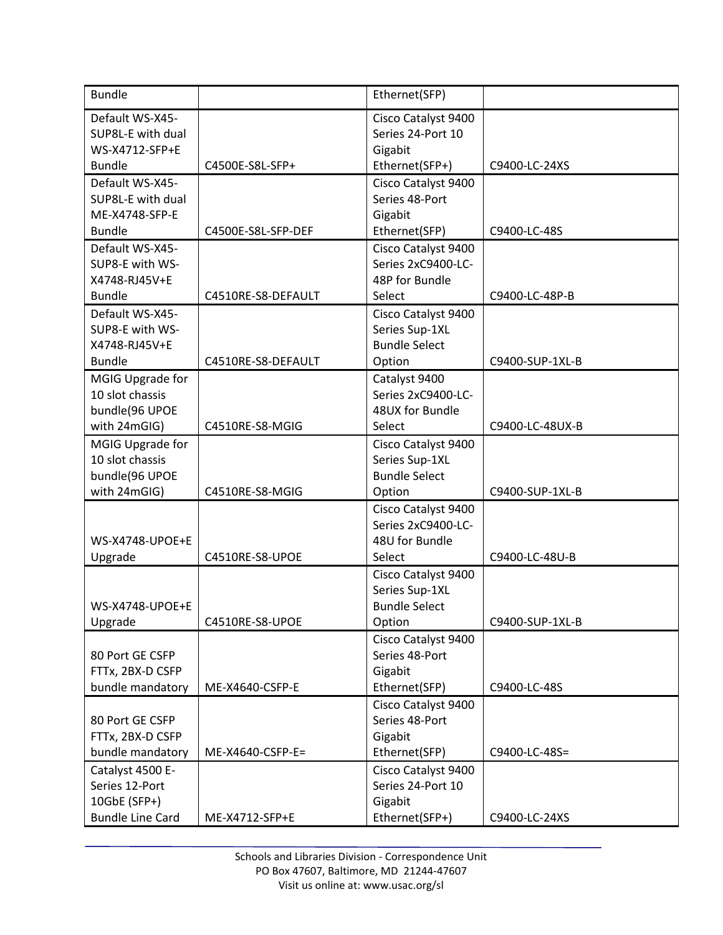| <b>Bundle</b>                       |                    | Ethernet(SFP)                         |                 |
|-------------------------------------|--------------------|---------------------------------------|-----------------|
| Default WS-X45-                     |                    | Cisco Catalyst 9400                   |                 |
| SUP8L-E with dual                   |                    | Series 24-Port 10                     |                 |
| WS-X4712-SFP+E<br><b>Bundle</b>     | C4500E-S8L-SFP+    | Gigabit<br>Ethernet(SFP+)             | C9400-LC-24XS   |
| Default WS-X45-                     |                    | Cisco Catalyst 9400                   |                 |
| SUP8L-E with dual                   |                    | Series 48-Port                        |                 |
| ME-X4748-SFP-E                      |                    | Gigabit                               |                 |
| <b>Bundle</b>                       | C4500E-S8L-SFP-DEF | Ethernet(SFP)                         | C9400-LC-48S    |
| Default WS-X45-                     |                    | Cisco Catalyst 9400                   |                 |
| SUP8-E with WS-                     |                    | Series 2xC9400-LC-                    |                 |
| X4748-RJ45V+E                       |                    | 48P for Bundle                        |                 |
| <b>Bundle</b>                       | C4510RE-S8-DEFAULT | Select                                | C9400-LC-48P-B  |
| Default WS-X45-                     |                    | Cisco Catalyst 9400                   |                 |
| SUP8-E with WS-                     |                    | Series Sup-1XL                        |                 |
| X4748-RJ45V+E                       |                    | <b>Bundle Select</b>                  |                 |
| <b>Bundle</b>                       | C4510RE-S8-DEFAULT | Option                                | C9400-SUP-1XL-B |
| MGIG Upgrade for<br>10 slot chassis |                    | Catalyst 9400<br>Series 2xC9400-LC-   |                 |
| bundle(96 UPOE                      |                    | 48UX for Bundle                       |                 |
| with 24mGIG)                        | C4510RE-S8-MGIG    | Select                                | C9400-LC-48UX-B |
| MGIG Upgrade for                    |                    | Cisco Catalyst 9400                   |                 |
| 10 slot chassis                     |                    | Series Sup-1XL                        |                 |
| bundle(96 UPOE                      |                    | <b>Bundle Select</b>                  |                 |
| with 24mGIG)                        | C4510RE-S8-MGIG    | Option                                | C9400-SUP-1XL-B |
|                                     |                    | Cisco Catalyst 9400                   |                 |
|                                     |                    | Series 2xC9400-LC-                    |                 |
| WS-X4748-UPOE+E                     |                    | 48U for Bundle                        |                 |
| Upgrade                             | C4510RE-S8-UPOE    | Select                                | C9400-LC-48U-B  |
|                                     |                    | Cisco Catalyst 9400                   |                 |
|                                     |                    | Series Sup-1XL                        |                 |
| WS-X4748-UPOE+E                     |                    | <b>Bundle Select</b>                  |                 |
| Upgrade                             | C4510RE-S8-UPOE    | Option                                | C9400-SUP-1XL-B |
| 80 Port GE CSFP                     |                    | Cisco Catalyst 9400<br>Series 48-Port |                 |
| FTTx, 2BX-D CSFP                    |                    | Gigabit                               |                 |
| bundle mandatory                    | ME-X4640-CSFP-E    | Ethernet(SFP)                         | C9400-LC-48S    |
|                                     |                    | Cisco Catalyst 9400                   |                 |
| 80 Port GE CSFP                     |                    | Series 48-Port                        |                 |
| FTTx, 2BX-D CSFP                    |                    | Gigabit                               |                 |
| bundle mandatory                    | ME-X4640-CSFP-E=   | Ethernet(SFP)                         | C9400-LC-48S=   |
| Catalyst 4500 E-                    |                    | Cisco Catalyst 9400                   |                 |
| Series 12-Port                      |                    | Series 24-Port 10                     |                 |
| 10GbE (SFP+)                        |                    | Gigabit                               |                 |
| <b>Bundle Line Card</b>             | ME-X4712-SFP+E     | Ethernet(SFP+)                        | C9400-LC-24XS   |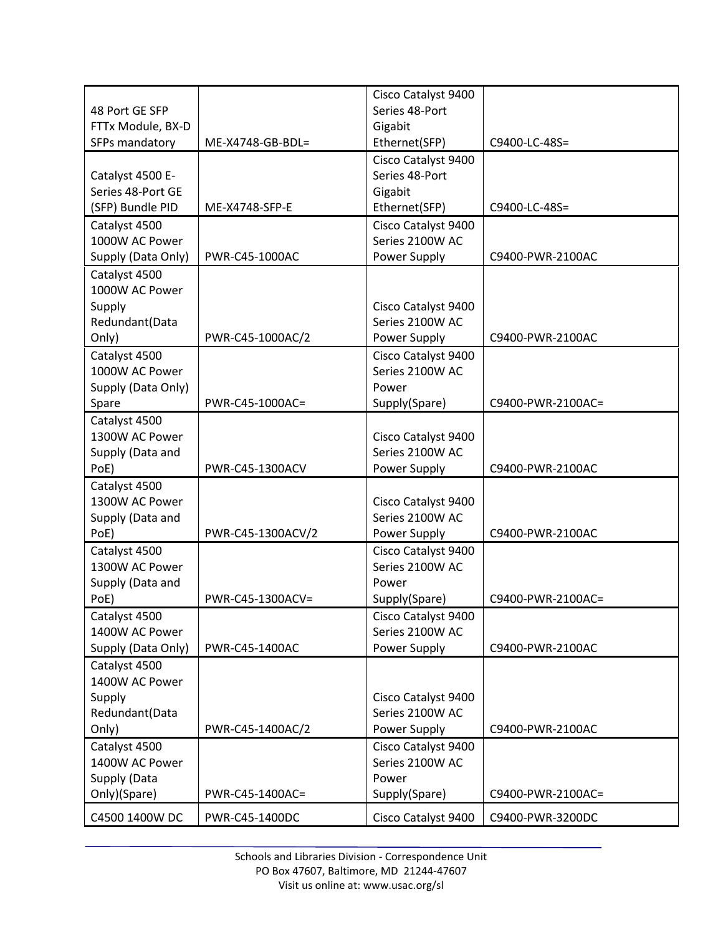|                    |                   | Cisco Catalyst 9400 |                   |
|--------------------|-------------------|---------------------|-------------------|
| 48 Port GE SFP     |                   | Series 48-Port      |                   |
| FTTx Module, BX-D  |                   | Gigabit             |                   |
| SFPs mandatory     | ME-X4748-GB-BDL=  | Ethernet(SFP)       | C9400-LC-48S=     |
|                    |                   | Cisco Catalyst 9400 |                   |
| Catalyst 4500 E-   |                   | Series 48-Port      |                   |
| Series 48-Port GE  |                   | Gigabit             |                   |
| (SFP) Bundle PID   | ME-X4748-SFP-E    | Ethernet(SFP)       | C9400-LC-48S=     |
| Catalyst 4500      |                   | Cisco Catalyst 9400 |                   |
| 1000W AC Power     |                   | Series 2100W AC     |                   |
| Supply (Data Only) | PWR-C45-1000AC    | Power Supply        | C9400-PWR-2100AC  |
| Catalyst 4500      |                   |                     |                   |
| 1000W AC Power     |                   |                     |                   |
| Supply             |                   | Cisco Catalyst 9400 |                   |
| Redundant(Data     |                   | Series 2100W AC     |                   |
| Only)              | PWR-C45-1000AC/2  | Power Supply        | C9400-PWR-2100AC  |
| Catalyst 4500      |                   | Cisco Catalyst 9400 |                   |
| 1000W AC Power     |                   | Series 2100W AC     |                   |
| Supply (Data Only) |                   | Power               |                   |
| Spare              | PWR-C45-1000AC=   | Supply(Spare)       | C9400-PWR-2100AC= |
| Catalyst 4500      |                   |                     |                   |
| 1300W AC Power     |                   | Cisco Catalyst 9400 |                   |
| Supply (Data and   |                   | Series 2100W AC     |                   |
| PoE)               | PWR-C45-1300ACV   | Power Supply        | C9400-PWR-2100AC  |
| Catalyst 4500      |                   |                     |                   |
| 1300W AC Power     |                   | Cisco Catalyst 9400 |                   |
| Supply (Data and   |                   | Series 2100W AC     |                   |
| PoE)               | PWR-C45-1300ACV/2 | Power Supply        | C9400-PWR-2100AC  |
| Catalyst 4500      |                   | Cisco Catalyst 9400 |                   |
| 1300W AC Power     |                   | Series 2100W AC     |                   |
| Supply (Data and   |                   | Power               |                   |
| PoE)               | PWR-C45-1300ACV=  | Supply(Spare)       | C9400-PWR-2100AC= |
| Catalyst 4500      |                   | Cisco Catalyst 9400 |                   |
| 1400W AC Power     |                   | Series 2100W AC     |                   |
| Supply (Data Only) | PWR-C45-1400AC    | Power Supply        | C9400-PWR-2100AC  |
| Catalyst 4500      |                   |                     |                   |
| 1400W AC Power     |                   |                     |                   |
| Supply             |                   | Cisco Catalyst 9400 |                   |
| Redundant(Data     |                   | Series 2100W AC     |                   |
| Only)              | PWR-C45-1400AC/2  | Power Supply        | C9400-PWR-2100AC  |
| Catalyst 4500      |                   | Cisco Catalyst 9400 |                   |
| 1400W AC Power     |                   | Series 2100W AC     |                   |
| Supply (Data       |                   | Power               |                   |
| Only)(Spare)       | PWR-C45-1400AC=   | Supply(Spare)       | C9400-PWR-2100AC= |
| C4500 1400W DC     | PWR-C45-1400DC    | Cisco Catalyst 9400 | C9400-PWR-3200DC  |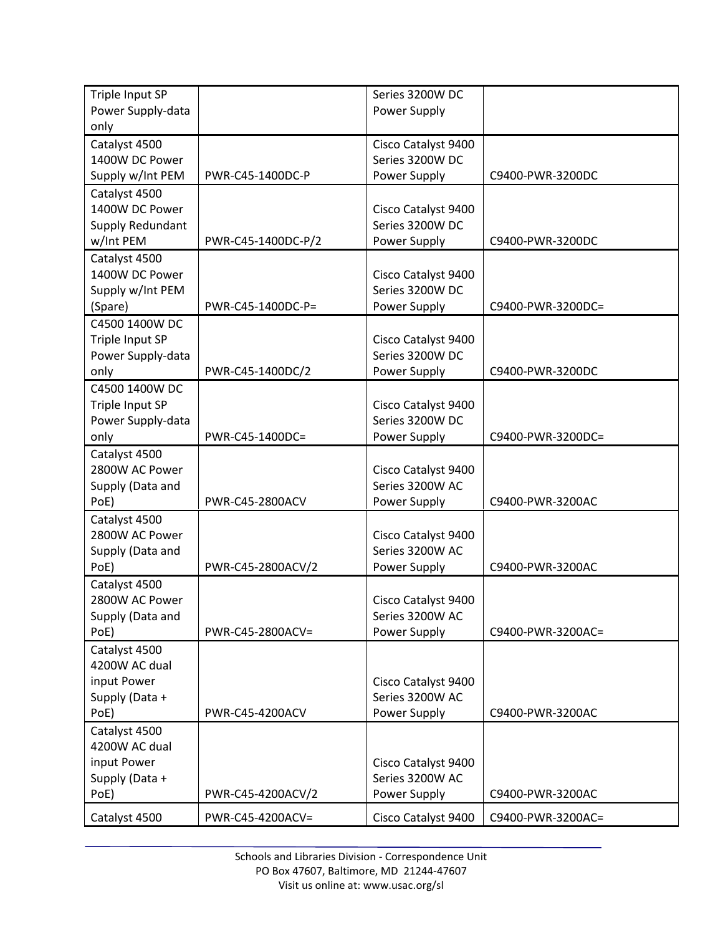| Triple Input SP   |                    | Series 3200W DC     |                   |
|-------------------|--------------------|---------------------|-------------------|
| Power Supply-data |                    | Power Supply        |                   |
| only              |                    |                     |                   |
| Catalyst 4500     |                    | Cisco Catalyst 9400 |                   |
| 1400W DC Power    |                    | Series 3200W DC     |                   |
| Supply w/Int PEM  | PWR-C45-1400DC-P   | Power Supply        | C9400-PWR-3200DC  |
| Catalyst 4500     |                    |                     |                   |
| 1400W DC Power    |                    | Cisco Catalyst 9400 |                   |
| Supply Redundant  |                    | Series 3200W DC     |                   |
| w/Int PEM         | PWR-C45-1400DC-P/2 | Power Supply        | C9400-PWR-3200DC  |
| Catalyst 4500     |                    |                     |                   |
| 1400W DC Power    |                    | Cisco Catalyst 9400 |                   |
| Supply w/Int PEM  |                    | Series 3200W DC     |                   |
| (Spare)           | PWR-C45-1400DC-P=  | Power Supply        | C9400-PWR-3200DC= |
| C4500 1400W DC    |                    |                     |                   |
| Triple Input SP   |                    | Cisco Catalyst 9400 |                   |
| Power Supply-data |                    | Series 3200W DC     |                   |
| only              | PWR-C45-1400DC/2   | Power Supply        | C9400-PWR-3200DC  |
| C4500 1400W DC    |                    |                     |                   |
| Triple Input SP   |                    | Cisco Catalyst 9400 |                   |
| Power Supply-data |                    | Series 3200W DC     |                   |
| only              | PWR-C45-1400DC=    | Power Supply        | C9400-PWR-3200DC= |
| Catalyst 4500     |                    |                     |                   |
| 2800W AC Power    |                    | Cisco Catalyst 9400 |                   |
| Supply (Data and  |                    | Series 3200W AC     |                   |
| PoE)              | PWR-C45-2800ACV    | Power Supply        | C9400-PWR-3200AC  |
| Catalyst 4500     |                    |                     |                   |
| 2800W AC Power    |                    | Cisco Catalyst 9400 |                   |
| Supply (Data and  |                    | Series 3200W AC     |                   |
| PoE)              | PWR-C45-2800ACV/2  | Power Supply        | C9400-PWR-3200AC  |
| Catalyst 4500     |                    |                     |                   |
| 2800W AC Power    |                    | Cisco Catalyst 9400 |                   |
| Supply (Data and  |                    | Series 3200W AC     |                   |
| PoE)              | PWR-C45-2800ACV=   | Power Supply        | C9400-PWR-3200AC= |
| Catalyst 4500     |                    |                     |                   |
| 4200W AC dual     |                    |                     |                   |
| input Power       |                    | Cisco Catalyst 9400 |                   |
| Supply (Data +    |                    | Series 3200W AC     |                   |
| PoE)              | PWR-C45-4200ACV    | Power Supply        | C9400-PWR-3200AC  |
| Catalyst 4500     |                    |                     |                   |
| 4200W AC dual     |                    |                     |                   |
| input Power       |                    | Cisco Catalyst 9400 |                   |
| Supply (Data +    |                    | Series 3200W AC     |                   |
| PoE)              | PWR-C45-4200ACV/2  | Power Supply        | C9400-PWR-3200AC  |
| Catalyst 4500     | PWR-C45-4200ACV=   | Cisco Catalyst 9400 | C9400-PWR-3200AC= |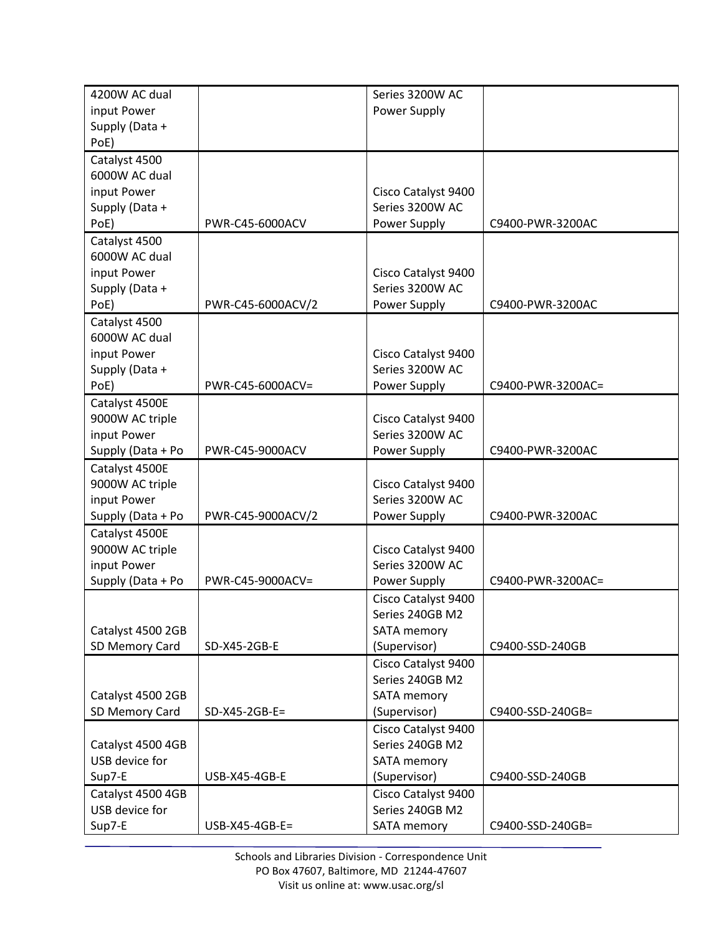| 4200W AC dual     |                   | Series 3200W AC     |                   |
|-------------------|-------------------|---------------------|-------------------|
| input Power       |                   | Power Supply        |                   |
| Supply (Data +    |                   |                     |                   |
| PoE)              |                   |                     |                   |
| Catalyst 4500     |                   |                     |                   |
| 6000W AC dual     |                   |                     |                   |
| input Power       |                   | Cisco Catalyst 9400 |                   |
| Supply (Data +    |                   | Series 3200W AC     |                   |
| PoE)              | PWR-C45-6000ACV   | Power Supply        | C9400-PWR-3200AC  |
| Catalyst 4500     |                   |                     |                   |
| 6000W AC dual     |                   |                     |                   |
| input Power       |                   | Cisco Catalyst 9400 |                   |
| Supply (Data +    |                   | Series 3200W AC     |                   |
| PoE)              | PWR-C45-6000ACV/2 | Power Supply        | C9400-PWR-3200AC  |
| Catalyst 4500     |                   |                     |                   |
| 6000W AC dual     |                   |                     |                   |
| input Power       |                   | Cisco Catalyst 9400 |                   |
| Supply (Data +    |                   | Series 3200W AC     |                   |
| PoE)              | PWR-C45-6000ACV=  | Power Supply        | C9400-PWR-3200AC= |
| Catalyst 4500E    |                   |                     |                   |
| 9000W AC triple   |                   | Cisco Catalyst 9400 |                   |
| input Power       |                   | Series 3200W AC     |                   |
| Supply (Data + Po | PWR-C45-9000ACV   | Power Supply        | C9400-PWR-3200AC  |
| Catalyst 4500E    |                   |                     |                   |
| 9000W AC triple   |                   | Cisco Catalyst 9400 |                   |
| input Power       |                   | Series 3200W AC     |                   |
| Supply (Data + Po | PWR-C45-9000ACV/2 | Power Supply        | C9400-PWR-3200AC  |
| Catalyst 4500E    |                   |                     |                   |
| 9000W AC triple   |                   | Cisco Catalyst 9400 |                   |
| input Power       |                   | Series 3200W AC     |                   |
| Supply (Data + Po | PWR-C45-9000ACV=  | Power Supply        | C9400-PWR-3200AC= |
|                   |                   | Cisco Catalyst 9400 |                   |
|                   |                   | Series 240GB M2     |                   |
| Catalyst 4500 2GB |                   | <b>SATA memory</b>  |                   |
| SD Memory Card    | SD-X45-2GB-E      | (Supervisor)        | C9400-SSD-240GB   |
|                   |                   | Cisco Catalyst 9400 |                   |
|                   |                   | Series 240GB M2     |                   |
| Catalyst 4500 2GB |                   | <b>SATA memory</b>  |                   |
| SD Memory Card    | $SD-X45-2GB-E=$   | (Supervisor)        | C9400-SSD-240GB=  |
|                   |                   | Cisco Catalyst 9400 |                   |
| Catalyst 4500 4GB |                   | Series 240GB M2     |                   |
| USB device for    |                   | <b>SATA memory</b>  |                   |
| Sup7-E            | USB-X45-4GB-E     | (Supervisor)        | C9400-SSD-240GB   |
| Catalyst 4500 4GB |                   | Cisco Catalyst 9400 |                   |
| USB device for    |                   | Series 240GB M2     |                   |
| Sup7-E            | $USB-X45-4GB-E=$  | SATA memory         | C9400-SSD-240GB=  |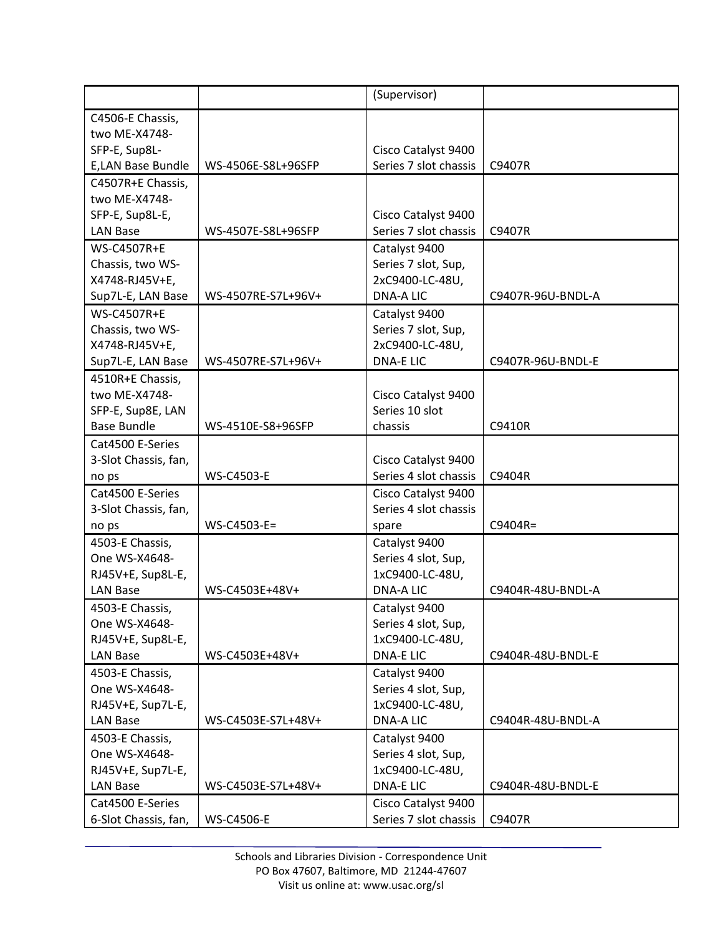|                      |                    | (Supervisor)          |                   |
|----------------------|--------------------|-----------------------|-------------------|
| C4506-E Chassis,     |                    |                       |                   |
| two ME-X4748-        |                    |                       |                   |
| SFP-E, Sup8L-        |                    | Cisco Catalyst 9400   |                   |
| E,LAN Base Bundle    | WS-4506E-S8L+96SFP | Series 7 slot chassis | C9407R            |
| C4507R+E Chassis,    |                    |                       |                   |
| two ME-X4748-        |                    |                       |                   |
| SFP-E, Sup8L-E,      |                    | Cisco Catalyst 9400   |                   |
| <b>LAN Base</b>      | WS-4507E-S8L+96SFP | Series 7 slot chassis | C9407R            |
| <b>WS-C4507R+E</b>   |                    | Catalyst 9400         |                   |
| Chassis, two WS-     |                    | Series 7 slot, Sup,   |                   |
| X4748-RJ45V+E,       |                    | 2xC9400-LC-48U,       |                   |
| Sup7L-E, LAN Base    | WS-4507RE-S7L+96V+ | <b>DNA-A LIC</b>      | C9407R-96U-BNDL-A |
| <b>WS-C4507R+E</b>   |                    | Catalyst 9400         |                   |
| Chassis, two WS-     |                    | Series 7 slot, Sup,   |                   |
| X4748-RJ45V+E,       |                    | 2xC9400-LC-48U,       |                   |
| Sup7L-E, LAN Base    | WS-4507RE-S7L+96V+ | <b>DNA-ELIC</b>       | C9407R-96U-BNDL-E |
| 4510R+E Chassis,     |                    |                       |                   |
| two ME-X4748-        |                    | Cisco Catalyst 9400   |                   |
| SFP-E, Sup8E, LAN    |                    | Series 10 slot        |                   |
| <b>Base Bundle</b>   | WS-4510E-S8+96SFP  | chassis               | C9410R            |
| Cat4500 E-Series     |                    |                       |                   |
| 3-Slot Chassis, fan, |                    | Cisco Catalyst 9400   |                   |
| no ps                | <b>WS-C4503-E</b>  | Series 4 slot chassis | C9404R            |
| Cat4500 E-Series     |                    | Cisco Catalyst 9400   |                   |
| 3-Slot Chassis, fan, |                    | Series 4 slot chassis |                   |
| no ps                | WS-C4503-E=        | spare                 | $C9404R =$        |
| 4503-E Chassis,      |                    | Catalyst 9400         |                   |
| One WS-X4648-        |                    | Series 4 slot, Sup,   |                   |
| RJ45V+E, Sup8L-E,    |                    | 1xC9400-LC-48U,       |                   |
| <b>LAN Base</b>      | WS-C4503E+48V+     | <b>DNA-A LIC</b>      | C9404R-48U-BNDL-A |
| 4503-E Chassis,      |                    | Catalyst 9400         |                   |
| One WS-X4648-        |                    | Series 4 slot, Sup,   |                   |
| RJ45V+E, Sup8L-E,    |                    | 1xC9400-LC-48U,       |                   |
| LAN Base             | WS-C4503E+48V+     | <b>DNA-ELIC</b>       | C9404R-48U-BNDL-E |
| 4503-E Chassis,      |                    | Catalyst 9400         |                   |
| One WS-X4648-        |                    | Series 4 slot, Sup,   |                   |
| RJ45V+E, Sup7L-E,    |                    | 1xC9400-LC-48U,       |                   |
| <b>LAN Base</b>      | WS-C4503E-S7L+48V+ | DNA-A LIC             | C9404R-48U-BNDL-A |
| 4503-E Chassis,      |                    | Catalyst 9400         |                   |
| One WS-X4648-        |                    | Series 4 slot, Sup,   |                   |
| RJ45V+E, Sup7L-E,    |                    | 1xC9400-LC-48U,       |                   |
| LAN Base             | WS-C4503E-S7L+48V+ | <b>DNA-ELIC</b>       | C9404R-48U-BNDL-E |
| Cat4500 E-Series     |                    | Cisco Catalyst 9400   |                   |
| 6-Slot Chassis, fan, | <b>WS-C4506-E</b>  | Series 7 slot chassis | C9407R            |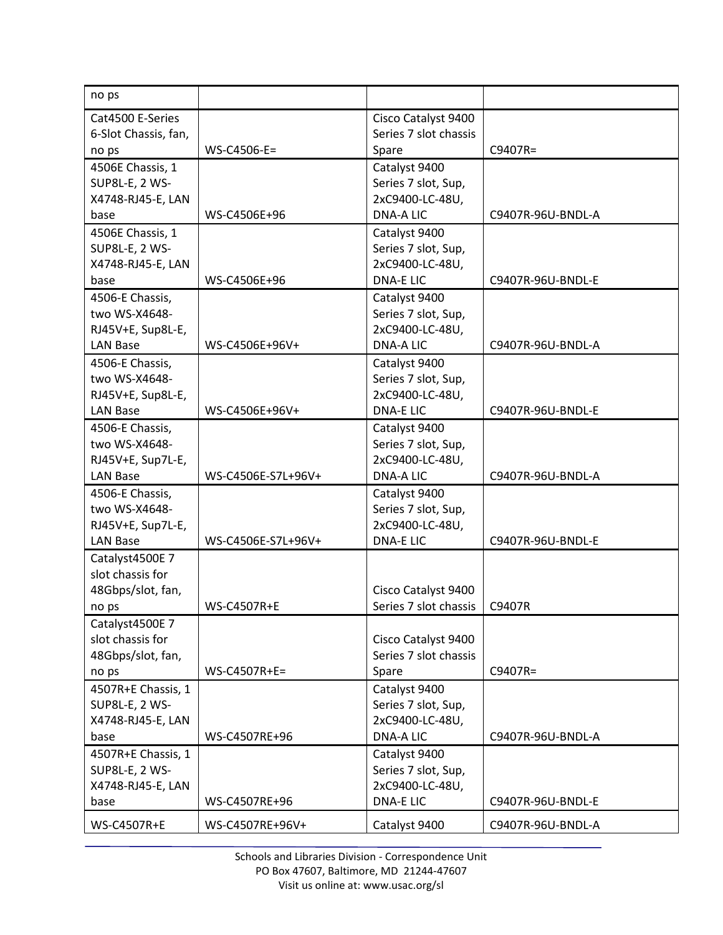| no ps                 |                    |                       |                   |
|-----------------------|--------------------|-----------------------|-------------------|
| Cat4500 E-Series      |                    | Cisco Catalyst 9400   |                   |
| 6-Slot Chassis, fan,  |                    | Series 7 slot chassis |                   |
| no ps                 | WS-C4506-E=        | Spare                 | C9407R=           |
| 4506E Chassis, 1      |                    | Catalyst 9400         |                   |
| <b>SUP8L-E, 2 WS-</b> |                    | Series 7 slot, Sup,   |                   |
| X4748-RJ45-E, LAN     |                    | 2xC9400-LC-48U,       |                   |
| base                  | WS-C4506E+96       | <b>DNA-A LIC</b>      | C9407R-96U-BNDL-A |
| 4506E Chassis, 1      |                    | Catalyst 9400         |                   |
| SUP8L-E, 2 WS-        |                    | Series 7 slot, Sup,   |                   |
| X4748-RJ45-E, LAN     |                    | 2xC9400-LC-48U,       |                   |
| base                  | WS-C4506E+96       | <b>DNA-ELIC</b>       | C9407R-96U-BNDL-E |
| 4506-E Chassis,       |                    | Catalyst 9400         |                   |
| two WS-X4648-         |                    | Series 7 slot, Sup,   |                   |
| RJ45V+E, Sup8L-E,     |                    | 2xC9400-LC-48U,       |                   |
| <b>LAN Base</b>       | WS-C4506E+96V+     | <b>DNA-A LIC</b>      | C9407R-96U-BNDL-A |
| 4506-E Chassis,       |                    | Catalyst 9400         |                   |
| two WS-X4648-         |                    | Series 7 slot, Sup,   |                   |
| RJ45V+E, Sup8L-E,     |                    | 2xC9400-LC-48U,       |                   |
| <b>LAN Base</b>       | WS-C4506E+96V+     | <b>DNA-ELIC</b>       | C9407R-96U-BNDL-E |
| 4506-E Chassis,       |                    | Catalyst 9400         |                   |
| two WS-X4648-         |                    | Series 7 slot, Sup,   |                   |
| RJ45V+E, Sup7L-E,     |                    | 2xC9400-LC-48U,       |                   |
| <b>LAN Base</b>       | WS-C4506E-S7L+96V+ | <b>DNA-A LIC</b>      | C9407R-96U-BNDL-A |
| 4506-E Chassis,       |                    | Catalyst 9400         |                   |
| two WS-X4648-         |                    | Series 7 slot, Sup,   |                   |
| RJ45V+E, Sup7L-E,     |                    | 2xC9400-LC-48U,       |                   |
| <b>LAN Base</b>       | WS-C4506E-S7L+96V+ | <b>DNA-E LIC</b>      | C9407R-96U-BNDL-E |
| Catalyst4500E 7       |                    |                       |                   |
| slot chassis for      |                    |                       |                   |
| 48Gbps/slot, fan,     |                    | Cisco Catalyst 9400   |                   |
| no ps                 | <b>WS-C4507R+E</b> | Series 7 slot chassis | C9407R            |
| Catalyst4500E 7       |                    |                       |                   |
| slot chassis for      |                    | Cisco Catalyst 9400   |                   |
| 48Gbps/slot, fan,     |                    | Series 7 slot chassis |                   |
| no ps                 | WS-C4507R+E=       | Spare                 | $C9407R =$        |
| 4507R+E Chassis, 1    |                    | Catalyst 9400         |                   |
| SUP8L-E, 2 WS-        |                    | Series 7 slot, Sup,   |                   |
| X4748-RJ45-E, LAN     |                    | 2xC9400-LC-48U,       |                   |
| base                  | WS-C4507RE+96      | DNA-A LIC             | C9407R-96U-BNDL-A |
| 4507R+E Chassis, 1    |                    | Catalyst 9400         |                   |
| SUP8L-E, 2 WS-        |                    | Series 7 slot, Sup,   |                   |
| X4748-RJ45-E, LAN     |                    | 2xC9400-LC-48U,       |                   |
| base                  | WS-C4507RE+96      | <b>DNA-E LIC</b>      | C9407R-96U-BNDL-E |
| WS-C4507R+E           | WS-C4507RE+96V+    | Catalyst 9400         | C9407R-96U-BNDL-A |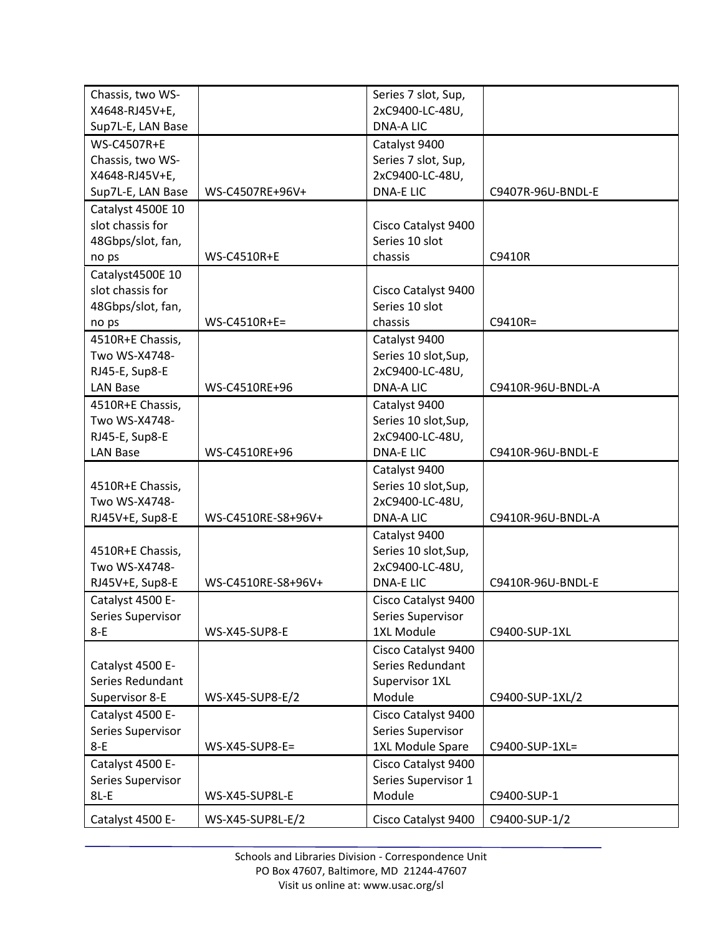| Chassis, two WS-           |                      | Series 7 slot, Sup,                 |                   |
|----------------------------|----------------------|-------------------------------------|-------------------|
|                            |                      |                                     |                   |
| X4648-RJ45V+E,             |                      | 2xC9400-LC-48U,<br><b>DNA-A LIC</b> |                   |
| Sup7L-E, LAN Base          |                      |                                     |                   |
| <b>WS-C4507R+E</b>         |                      | Catalyst 9400                       |                   |
| Chassis, two WS-           |                      | Series 7 slot, Sup,                 |                   |
| X4648-RJ45V+E,             |                      | 2xC9400-LC-48U,                     |                   |
| Sup7L-E, LAN Base          | WS-C4507RE+96V+      | <b>DNA-ELIC</b>                     | C9407R-96U-BNDL-E |
| Catalyst 4500E 10          |                      |                                     |                   |
| slot chassis for           |                      | Cisco Catalyst 9400                 |                   |
| 48Gbps/slot, fan,          |                      | Series 10 slot                      |                   |
| no ps                      | <b>WS-C4510R+E</b>   | chassis                             | C9410R            |
| Catalyst4500E 10           |                      |                                     |                   |
| slot chassis for           |                      | Cisco Catalyst 9400                 |                   |
| 48Gbps/slot, fan,          |                      | Series 10 slot                      |                   |
| no ps                      | $WS-C4510R+E=$       | chassis                             | C9410R=           |
| 4510R+E Chassis,           |                      | Catalyst 9400                       |                   |
| Two WS-X4748-              |                      | Series 10 slot, Sup,                |                   |
| RJ45-E, Sup8-E             |                      | 2xC9400-LC-48U,                     |                   |
| <b>LAN Base</b>            | WS-C4510RE+96        | <b>DNA-A LIC</b>                    | C9410R-96U-BNDL-A |
| 4510R+E Chassis,           |                      | Catalyst 9400                       |                   |
| Two WS-X4748-              |                      | Series 10 slot, Sup,                |                   |
| RJ45-E, Sup8-E             |                      | 2xC9400-LC-48U,                     |                   |
| <b>LAN Base</b>            | WS-C4510RE+96        | <b>DNA-E LIC</b>                    | C9410R-96U-BNDL-E |
|                            |                      | Catalyst 9400                       |                   |
| 4510R+E Chassis,           |                      | Series 10 slot, Sup,                |                   |
| Two WS-X4748-              |                      | 2xC9400-LC-48U,                     |                   |
| RJ45V+E, Sup8-E            | WS-C4510RE-S8+96V+   | <b>DNA-A LIC</b>                    | C9410R-96U-BNDL-A |
|                            |                      | Catalyst 9400                       |                   |
| 4510R+E Chassis,           |                      | Series 10 slot, Sup,                |                   |
| Two WS-X4748-              |                      | 2xC9400-LC-48U,                     |                   |
| RJ45V+E, Sup8-E            | WS-C4510RE-S8+96V+   | <b>DNA-E LIC</b>                    | C9410R-96U-BNDL-E |
|                            |                      |                                     |                   |
| Catalyst 4500 E-           |                      | Cisco Catalyst 9400                 |                   |
| Series Supervisor<br>$8-E$ | <b>WS-X45-SUP8-E</b> | Series Supervisor<br>1XL Module     |                   |
|                            |                      |                                     | C9400-SUP-1XL     |
|                            |                      | Cisco Catalyst 9400                 |                   |
| Catalyst 4500 E-           |                      | Series Redundant                    |                   |
| Series Redundant           |                      | Supervisor 1XL                      |                   |
| Supervisor 8-E             | WS-X45-SUP8-E/2      | Module                              | C9400-SUP-1XL/2   |
| Catalyst 4500 E-           |                      | Cisco Catalyst 9400                 |                   |
| Series Supervisor          |                      | Series Supervisor                   |                   |
| $8-E$                      | WS-X45-SUP8-E=       | 1XL Module Spare                    | C9400-SUP-1XL=    |
| Catalyst 4500 E-           |                      | Cisco Catalyst 9400                 |                   |
| Series Supervisor          |                      | Series Supervisor 1                 |                   |
| $8L-E$                     | WS-X45-SUP8L-E       | Module                              | C9400-SUP-1       |
| Catalyst 4500 E-           | WS-X45-SUP8L-E/2     | Cisco Catalyst 9400                 | C9400-SUP-1/2     |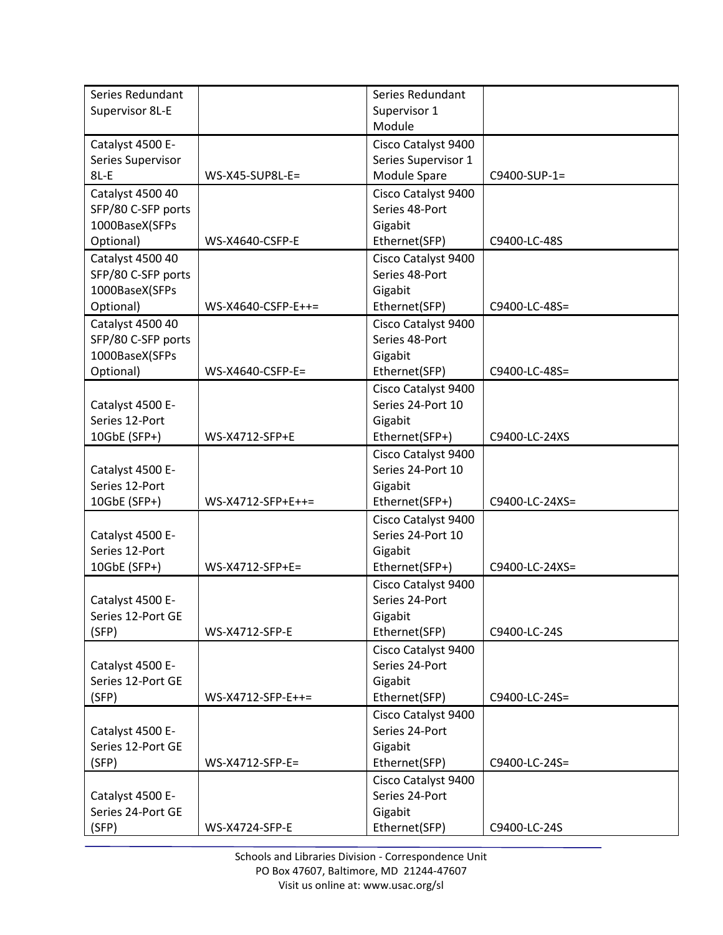| Series Redundant   |                    | Series Redundant    |                |
|--------------------|--------------------|---------------------|----------------|
| Supervisor 8L-E    |                    | Supervisor 1        |                |
|                    |                    | Module              |                |
|                    |                    |                     |                |
| Catalyst 4500 E-   |                    | Cisco Catalyst 9400 |                |
| Series Supervisor  |                    | Series Supervisor 1 |                |
| $8L-E$             | WS-X45-SUP8L-E=    | Module Spare        | C9400-SUP-1=   |
| Catalyst 4500 40   |                    | Cisco Catalyst 9400 |                |
| SFP/80 C-SFP ports |                    | Series 48-Port      |                |
| 1000BaseX(SFPs     |                    | Gigabit             |                |
| Optional)          | WS-X4640-CSFP-E    | Ethernet(SFP)       | C9400-LC-48S   |
| Catalyst 4500 40   |                    | Cisco Catalyst 9400 |                |
| SFP/80 C-SFP ports |                    | Series 48-Port      |                |
| 1000BaseX(SFPs     |                    | Gigabit             |                |
| Optional)          | WS-X4640-CSFP-E++= | Ethernet(SFP)       | C9400-LC-48S=  |
| Catalyst 4500 40   |                    | Cisco Catalyst 9400 |                |
| SFP/80 C-SFP ports |                    | Series 48-Port      |                |
| 1000BaseX(SFPs     |                    | Gigabit             |                |
| Optional)          | WS-X4640-CSFP-E=   | Ethernet(SFP)       | C9400-LC-48S=  |
|                    |                    | Cisco Catalyst 9400 |                |
| Catalyst 4500 E-   |                    | Series 24-Port 10   |                |
| Series 12-Port     |                    | Gigabit             |                |
| 10GbE (SFP+)       | WS-X4712-SFP+E     | Ethernet(SFP+)      | C9400-LC-24XS  |
|                    |                    |                     |                |
|                    |                    | Cisco Catalyst 9400 |                |
| Catalyst 4500 E-   |                    | Series 24-Port 10   |                |
| Series 12-Port     |                    | Gigabit             |                |
| 10GbE (SFP+)       | WS-X4712-SFP+E++=  | Ethernet(SFP+)      | C9400-LC-24XS= |
|                    |                    | Cisco Catalyst 9400 |                |
| Catalyst 4500 E-   |                    | Series 24-Port 10   |                |
| Series 12-Port     |                    | Gigabit             |                |
| 10GbE (SFP+)       | WS-X4712-SFP+E=    | Ethernet(SFP+)      | C9400-LC-24XS= |
|                    |                    | Cisco Catalyst 9400 |                |
| Catalyst 4500 E-   |                    | Series 24-Port      |                |
| Series 12-Port GE  |                    | Gigabit             |                |
| (SFP)              | WS-X4712-SFP-E     | Ethernet(SFP)       | C9400-LC-24S   |
|                    |                    | Cisco Catalyst 9400 |                |
| Catalyst 4500 E-   |                    | Series 24-Port      |                |
| Series 12-Port GE  |                    | Gigabit             |                |
| (SFP)              | WS-X4712-SFP-E++=  | Ethernet(SFP)       | C9400-LC-24S=  |
|                    |                    | Cisco Catalyst 9400 |                |
| Catalyst 4500 E-   |                    | Series 24-Port      |                |
| Series 12-Port GE  |                    | Gigabit             |                |
| (SFP)              | WS-X4712-SFP-E=    | Ethernet(SFP)       | C9400-LC-24S=  |
|                    |                    |                     |                |
|                    |                    | Cisco Catalyst 9400 |                |
| Catalyst 4500 E-   |                    | Series 24-Port      |                |
| Series 24-Port GE  |                    | Gigabit             |                |
| (SFP)              | WS-X4724-SFP-E     | Ethernet(SFP)       | C9400-LC-24S   |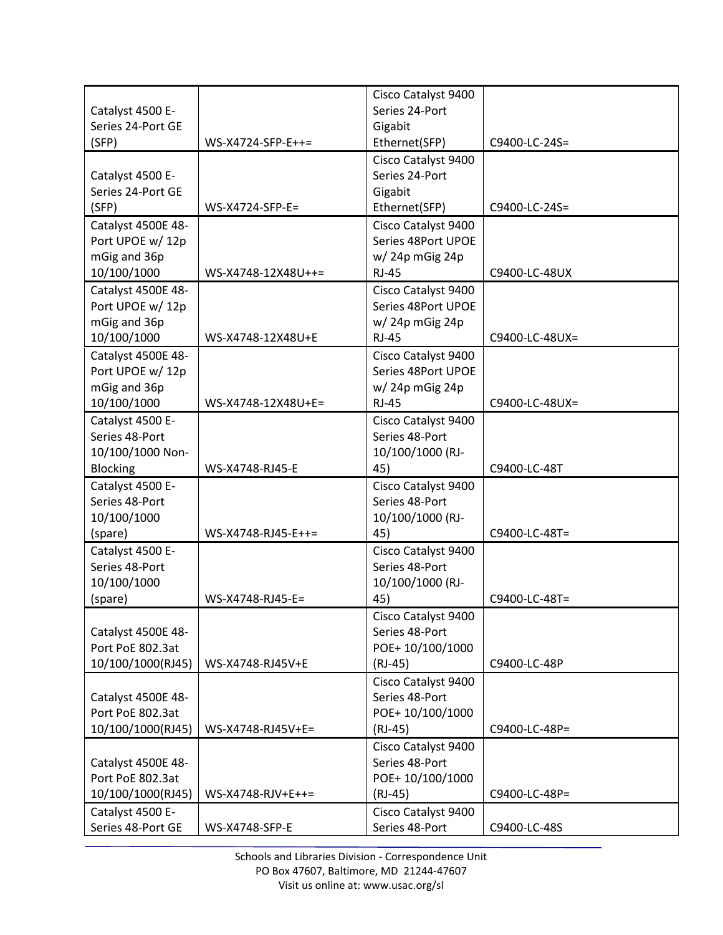|                                       |                     | Cisco Catalyst 9400                   |                |
|---------------------------------------|---------------------|---------------------------------------|----------------|
| Catalyst 4500 E-                      |                     | Series 24-Port                        |                |
| Series 24-Port GE                     |                     | Gigabit                               |                |
| (SFP)                                 | WS-X4724-SFP-E++=   | Ethernet(SFP)                         | C9400-LC-24S=  |
|                                       |                     | Cisco Catalyst 9400                   |                |
| Catalyst 4500 E-                      |                     | Series 24-Port                        |                |
| Series 24-Port GE                     |                     | Gigabit                               |                |
| (SFP)                                 | WS-X4724-SFP-E=     | Ethernet(SFP)                         | C9400-LC-24S=  |
|                                       |                     |                                       |                |
| Catalyst 4500E 48-                    |                     | Cisco Catalyst 9400                   |                |
| Port UPOE w/12p                       |                     | Series 48Port UPOE                    |                |
| mGig and 36p                          |                     | w/24p mGig 24p                        |                |
| 10/100/1000                           | WS-X4748-12X48U++=  | <b>RJ-45</b>                          | C9400-LC-48UX  |
| Catalyst 4500E 48-                    |                     | Cisco Catalyst 9400                   |                |
| Port UPOE w/ 12p                      |                     | Series 48Port UPOE                    |                |
| mGig and 36p                          |                     | w/24p mGig 24p                        |                |
| 10/100/1000                           | WS-X4748-12X48U+E   | <b>RJ-45</b>                          | C9400-LC-48UX= |
| Catalyst 4500E 48-                    |                     | Cisco Catalyst 9400                   |                |
| Port UPOE w/ 12p                      |                     | Series 48Port UPOE                    |                |
| mGig and 36p                          |                     | $w/24p$ mGig 24p                      |                |
| 10/100/1000                           | WS-X4748-12X48U+E=  | <b>RJ-45</b>                          | C9400-LC-48UX= |
| Catalyst 4500 E-                      |                     | Cisco Catalyst 9400                   |                |
| Series 48-Port                        |                     | Series 48-Port                        |                |
| 10/100/1000 Non-                      |                     | 10/100/1000 (RJ-                      |                |
| <b>Blocking</b>                       | WS-X4748-RJ45-E     | 45)                                   | C9400-LC-48T   |
|                                       |                     |                                       |                |
|                                       |                     |                                       |                |
| Catalyst 4500 E-                      |                     | Cisco Catalyst 9400                   |                |
| Series 48-Port                        |                     | Series 48-Port                        |                |
| 10/100/1000                           |                     | 10/100/1000 (RJ-                      |                |
| (spare)                               | WS-X4748-RJ45-E++=  | 45)                                   | C9400-LC-48T=  |
| Catalyst 4500 E-                      |                     | Cisco Catalyst 9400                   |                |
| Series 48-Port                        |                     | Series 48-Port                        |                |
| 10/100/1000                           |                     | 10/100/1000 (RJ-                      |                |
| (spare)                               | WS-X4748-RJ45-E=    | 45)                                   | C9400-LC-48T=  |
|                                       |                     | Cisco Catalyst 9400                   |                |
| Catalyst 4500E 48-                    |                     | Series 48-Port                        |                |
| Port PoE 802.3at                      |                     | POE+10/100/1000                       |                |
| 10/100/1000(RJ45)                     | WS-X4748-RJ45V+E    | $(RJ-45)$                             | C9400-LC-48P   |
|                                       |                     | Cisco Catalyst 9400                   |                |
| Catalyst 4500E 48-                    |                     | Series 48-Port                        |                |
| Port PoE 802.3at                      |                     | POE+10/100/1000                       |                |
| 10/100/1000(RJ45)                     | WS-X4748-RJ45V+E=   | $(RJ-45)$                             | C9400-LC-48P=  |
|                                       |                     |                                       |                |
|                                       |                     | Cisco Catalyst 9400                   |                |
| Catalyst 4500E 48-                    |                     | Series 48-Port                        |                |
| Port PoE 802.3at                      |                     | POE+10/100/1000                       |                |
| 10/100/1000(RJ45)                     | $WS-X4748-RJV+E++=$ | $(RJ-45)$                             | C9400-LC-48P=  |
| Catalyst 4500 E-<br>Series 48-Port GE | WS-X4748-SFP-E      | Cisco Catalyst 9400<br>Series 48-Port | C9400-LC-48S   |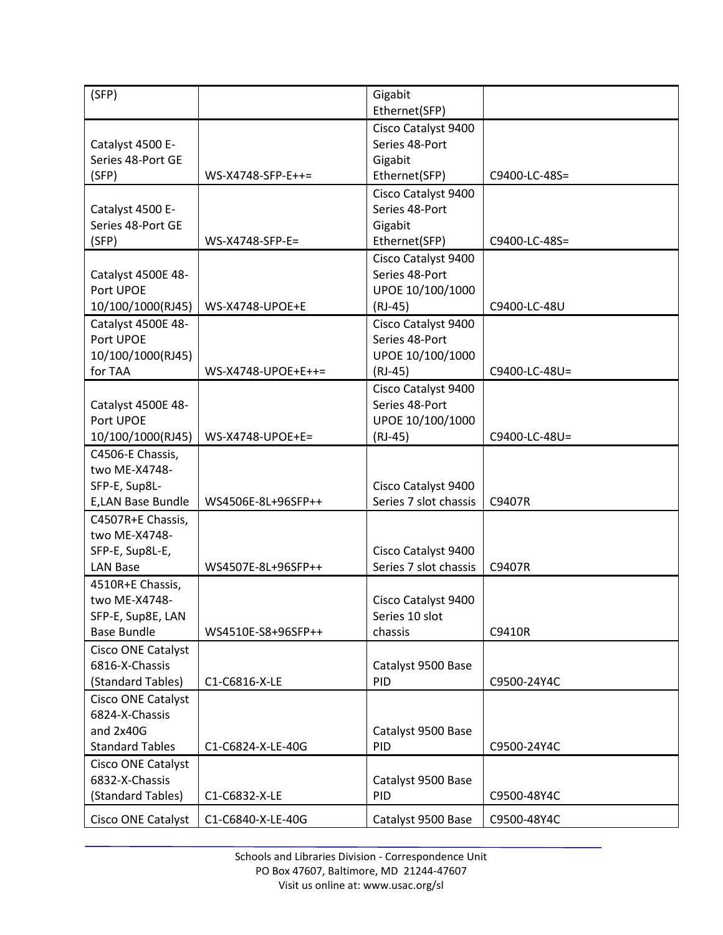| (SFP)                                                                        |                    | Gigabit<br>Ethernet(SFP)                                               |               |
|------------------------------------------------------------------------------|--------------------|------------------------------------------------------------------------|---------------|
| Catalyst 4500 E-<br>Series 48-Port GE<br>(SFP)                               | WS-X4748-SFP-E++=  | Cisco Catalyst 9400<br>Series 48-Port<br>Gigabit<br>Ethernet(SFP)      | C9400-LC-48S= |
| Catalyst 4500 E-<br>Series 48-Port GE<br>(SFP)                               | WS-X4748-SFP-E=    | Cisco Catalyst 9400<br>Series 48-Port<br>Gigabit<br>Ethernet(SFP)      | C9400-LC-48S= |
| Catalyst 4500E 48-<br>Port UPOE<br>10/100/1000(RJ45)                         | WS-X4748-UPOE+E    | Cisco Catalyst 9400<br>Series 48-Port<br>UPOE 10/100/1000<br>$(RJ-45)$ | C9400-LC-48U  |
| Catalyst 4500E 48-<br>Port UPOE<br>10/100/1000(RJ45)<br>for TAA              | WS-X4748-UPOE+E++= | Cisco Catalyst 9400<br>Series 48-Port<br>UPOE 10/100/1000<br>$(RJ-45)$ | C9400-LC-48U= |
| Catalyst 4500E 48-<br>Port UPOE<br>10/100/1000(RJ45)                         | WS-X4748-UPOE+E=   | Cisco Catalyst 9400<br>Series 48-Port<br>UPOE 10/100/1000<br>$(RJ-45)$ | C9400-LC-48U= |
| C4506-E Chassis,<br>two ME-X4748-<br>SFP-E, Sup8L-<br>E,LAN Base Bundle      | WS4506E-8L+96SFP++ | Cisco Catalyst 9400<br>Series 7 slot chassis                           | C9407R        |
| C4507R+E Chassis,<br>two ME-X4748-<br>SFP-E, Sup8L-E,<br><b>LAN Base</b>     | WS4507E-8L+96SFP++ | Cisco Catalyst 9400<br>Series 7 slot chassis                           | C9407R        |
| 4510R+E Chassis,<br>two ME-X4748-<br>SFP-E, Sup8E, LAN<br><b>Base Bundle</b> | WS4510E-S8+96SFP++ | Cisco Catalyst 9400<br>Series 10 slot<br>chassis                       | C9410R        |
| Cisco ONE Catalyst<br>6816-X-Chassis<br>(Standard Tables)                    | C1-C6816-X-LE      | Catalyst 9500 Base<br>PID                                              | C9500-24Y4C   |
| Cisco ONE Catalyst<br>6824-X-Chassis<br>and 2x40G<br><b>Standard Tables</b>  | C1-C6824-X-LE-40G  | Catalyst 9500 Base<br>PID                                              | C9500-24Y4C   |
| <b>Cisco ONE Catalyst</b><br>6832-X-Chassis<br>(Standard Tables)             | C1-C6832-X-LE      | Catalyst 9500 Base<br>PID                                              | C9500-48Y4C   |
| Cisco ONE Catalyst                                                           | C1-C6840-X-LE-40G  | Catalyst 9500 Base                                                     | C9500-48Y4C   |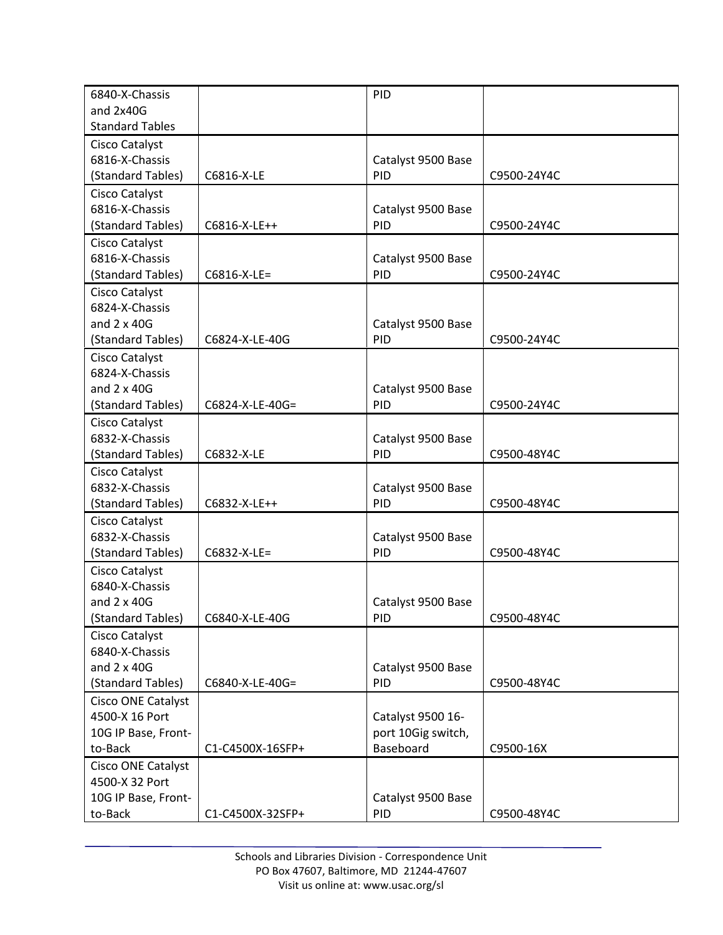| 6840-X-Chassis            |                  | PID                |             |
|---------------------------|------------------|--------------------|-------------|
| and 2x40G                 |                  |                    |             |
| <b>Standard Tables</b>    |                  |                    |             |
| Cisco Catalyst            |                  |                    |             |
| 6816-X-Chassis            |                  | Catalyst 9500 Base |             |
| (Standard Tables)         | C6816-X-LE       | PID                | C9500-24Y4C |
| Cisco Catalyst            |                  |                    |             |
| 6816-X-Chassis            |                  | Catalyst 9500 Base |             |
| (Standard Tables)         | C6816-X-LE++     | PID                | C9500-24Y4C |
| Cisco Catalyst            |                  |                    |             |
| 6816-X-Chassis            |                  | Catalyst 9500 Base |             |
| (Standard Tables)         | C6816-X-LE=      | PID                | C9500-24Y4C |
| Cisco Catalyst            |                  |                    |             |
| 6824-X-Chassis            |                  |                    |             |
| and $2 \times 40G$        |                  | Catalyst 9500 Base |             |
| (Standard Tables)         | C6824-X-LE-40G   | PID                | C9500-24Y4C |
| Cisco Catalyst            |                  |                    |             |
| 6824-X-Chassis            |                  |                    |             |
| and $2 \times 40G$        |                  | Catalyst 9500 Base |             |
| (Standard Tables)         | C6824-X-LE-40G=  | PID                | C9500-24Y4C |
| Cisco Catalyst            |                  |                    |             |
| 6832-X-Chassis            |                  | Catalyst 9500 Base |             |
| (Standard Tables)         | C6832-X-LE       | PID                | C9500-48Y4C |
| Cisco Catalyst            |                  |                    |             |
| 6832-X-Chassis            |                  | Catalyst 9500 Base |             |
| (Standard Tables)         | C6832-X-LE++     | PID                | C9500-48Y4C |
| Cisco Catalyst            |                  |                    |             |
| 6832-X-Chassis            |                  | Catalyst 9500 Base |             |
| (Standard Tables)         | C6832-X-LE=      | PID                | C9500-48Y4C |
| Cisco Catalyst            |                  |                    |             |
| 6840-X-Chassis            |                  |                    |             |
| and $2 \times 40G$        |                  | Catalyst 9500 Base |             |
| (Standard Tables)         | C6840-X-LE-40G   | <b>PID</b>         | C9500-48Y4C |
| Cisco Catalyst            |                  |                    |             |
| 6840-X-Chassis            |                  |                    |             |
| and $2 \times 40G$        |                  | Catalyst 9500 Base |             |
| (Standard Tables)         | C6840-X-LE-40G=  | PID                | C9500-48Y4C |
| <b>Cisco ONE Catalyst</b> |                  |                    |             |
| 4500-X 16 Port            |                  | Catalyst 9500 16-  |             |
| 10G IP Base, Front-       |                  | port 10Gig switch, |             |
| to-Back                   | C1-C4500X-16SFP+ | Baseboard          | C9500-16X   |
| Cisco ONE Catalyst        |                  |                    |             |
| 4500-X 32 Port            |                  |                    |             |
| 10G IP Base, Front-       |                  | Catalyst 9500 Base |             |
| to-Back                   | C1-C4500X-32SFP+ | PID                | C9500-48Y4C |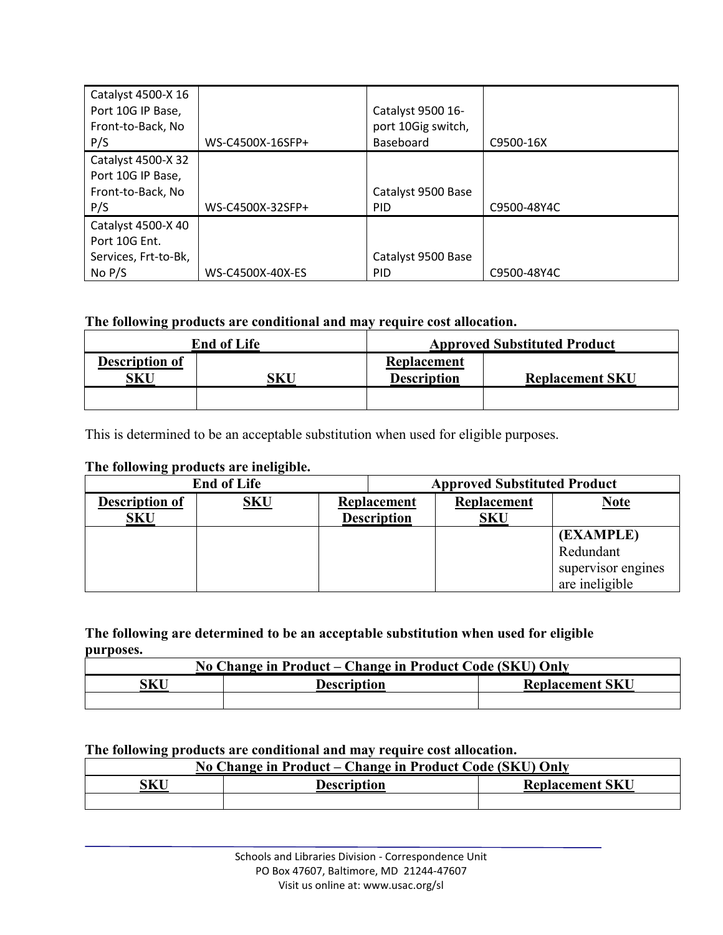| Catalyst 4500-X 16<br>Port 10G IP Base,<br>Front-to-Back, No<br>P/S     | WS-C4500X-16SFP+ | Catalyst 9500 16-<br>port 10Gig switch,<br>Baseboard | C9500-16X   |
|-------------------------------------------------------------------------|------------------|------------------------------------------------------|-------------|
| Catalyst 4500-X 32<br>Port 10G IP Base,<br>Front-to-Back, No<br>P/S     | WS-C4500X-32SFP+ | Catalyst 9500 Base<br><b>PID</b>                     | C9500-48Y4C |
| Catalyst 4500-X 40<br>Port 10G Ent.<br>Services, Frt-to-Bk,<br>No $P/S$ | WS-C4500X-40X-ES | Catalyst 9500 Base<br><b>PID</b>                     | C9500-48Y4C |

### **The following products are conditional and may require cost allocation.**

| <b>End of Life</b>           |     | <b>Approved Substituted Product</b> |                        |
|------------------------------|-----|-------------------------------------|------------------------|
| <b>Description of</b><br>SKU | SKU | Replacement<br><b>Description</b>   | <b>Replacement SKU</b> |
|                              |     |                                     |                        |

This is determined to be an acceptable substitution when used for eligible purposes.

### **The following products are ineligible.**

| <b>End of Life</b>    |            | <b>Approved Substituted Product</b> |                    |            |                    |             |             |
|-----------------------|------------|-------------------------------------|--------------------|------------|--------------------|-------------|-------------|
| <b>Description of</b> | <b>SKU</b> | Replacement                         |                    |            |                    | Replacement | <b>Note</b> |
| <b>SKU</b>            |            |                                     | <b>Description</b> | <b>SKU</b> |                    |             |             |
|                       |            |                                     |                    |            | (EXAMPLE)          |             |             |
|                       |            |                                     |                    |            | Redundant          |             |             |
|                       |            |                                     |                    |            | supervisor engines |             |             |
|                       |            |                                     |                    |            | are ineligible     |             |             |

#### **The following are determined to be an acceptable substitution when used for eligible purposes.**

| No Change in Product – Change in Product Code (SKU) Only |  |  |  |  |  |
|----------------------------------------------------------|--|--|--|--|--|
| SKU<br><b>Replacement SKU</b><br><b>Description</b>      |  |  |  |  |  |
|                                                          |  |  |  |  |  |

#### **The following products are conditional and may require cost allocation.**

| No Change in Product – Change in Product Code (SKU) Only |  |  |  |  |
|----------------------------------------------------------|--|--|--|--|
| SKU<br><b>Replacement SKU</b><br><b>Description</b>      |  |  |  |  |
|                                                          |  |  |  |  |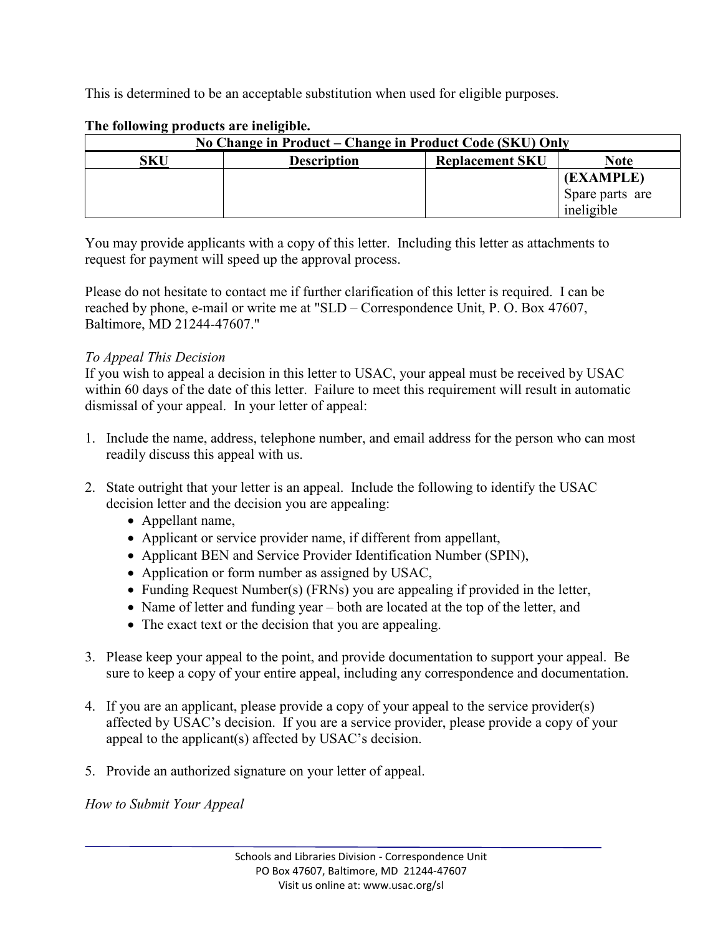This is determined to be an acceptable substitution when used for eligible purposes.

| No Change in Product – Change in Product Code (SKU) Only |                                                      |  |                 |  |  |
|----------------------------------------------------------|------------------------------------------------------|--|-----------------|--|--|
| SKU                                                      | Note<br><b>Description</b><br><b>Replacement SKU</b> |  |                 |  |  |
|                                                          |                                                      |  | (EXAMPLE)       |  |  |
|                                                          |                                                      |  | Spare parts are |  |  |
|                                                          |                                                      |  | ineligible      |  |  |

## **The following products are ineligible.**

You may provide applicants with a copy of this letter. Including this letter as attachments to request for payment will speed up the approval process.

Please do not hesitate to contact me if further clarification of this letter is required. I can be reached by phone, e-mail or write me at "SLD – Correspondence Unit, P. O. Box 47607, Baltimore, MD 21244-47607."

# *To Appeal This Decision*

If you wish to appeal a decision in this letter to USAC, your appeal must be received by USAC within 60 days of the date of this letter. Failure to meet this requirement will result in automatic dismissal of your appeal. In your letter of appeal:

- 1. Include the name, address, telephone number, and email address for the person who can most readily discuss this appeal with us.
- 2. State outright that your letter is an appeal. Include the following to identify the USAC decision letter and the decision you are appealing:
	- Appellant name,
	- Applicant or service provider name, if different from appellant,
	- Applicant BEN and Service Provider Identification Number (SPIN),
	- Application or form number as assigned by USAC,
	- Funding Request Number(s) (FRNs) you are appealing if provided in the letter,
	- Name of letter and funding year both are located at the top of the letter, and
	- The exact text or the decision that you are appealing.
- 3. Please keep your appeal to the point, and provide documentation to support your appeal. Be sure to keep a copy of your entire appeal, including any correspondence and documentation.
- 4. If you are an applicant, please provide a copy of your appeal to the service provider(s) affected by USAC's decision. If you are a service provider, please provide a copy of your appeal to the applicant(s) affected by USAC's decision.
- 5. Provide an authorized signature on your letter of appeal.

*How to Submit Your Appeal*